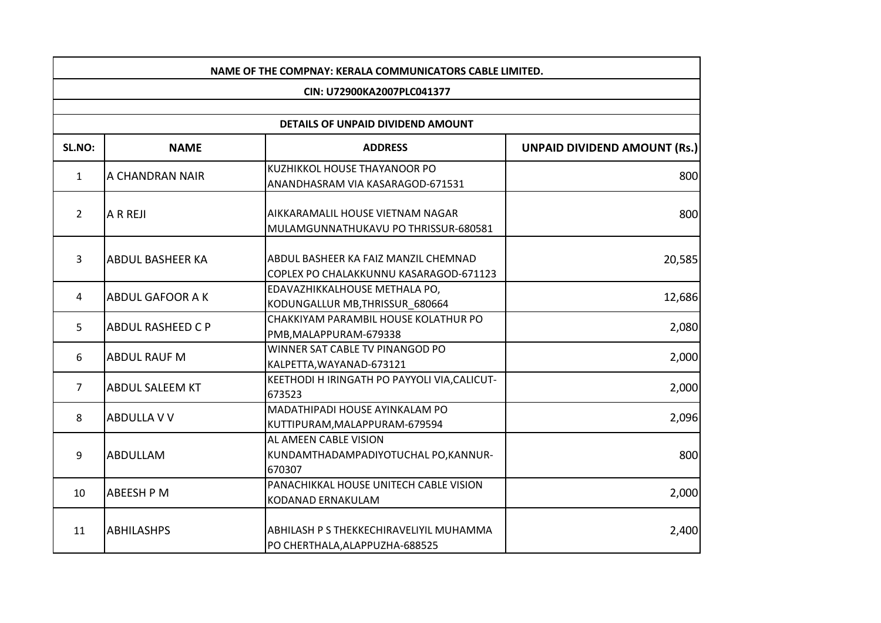| NAME OF THE COMPNAY: KERALA COMMUNICATORS CABLE LIMITED. |                          |                                                                                |                              |
|----------------------------------------------------------|--------------------------|--------------------------------------------------------------------------------|------------------------------|
|                                                          |                          | CIN: U72900KA2007PLC041377                                                     |                              |
|                                                          |                          |                                                                                |                              |
|                                                          |                          | DETAILS OF UNPAID DIVIDEND AMOUNT                                              |                              |
| SL.NO:                                                   | <b>NAME</b>              | <b>ADDRESS</b>                                                                 | UNPAID DIVIDEND AMOUNT (Rs.) |
| $\mathbf{1}$                                             | A CHANDRAN NAIR          | KUZHIKKOL HOUSE THAYANOOR PO<br>ANANDHASRAM VIA KASARAGOD-671531               | 800                          |
| $\overline{2}$                                           | A R REJI                 | AIKKARAMALIL HOUSE VIETNAM NAGAR<br>MULAMGUNNATHUKAVU PO THRISSUR-680581       | 800                          |
| 3                                                        | <b>ABDUL BASHEER KA</b>  | ABDUL BASHEER KA FAIZ MANZIL CHEMNAD<br>COPLEX PO CHALAKKUNNU KASARAGOD-671123 | 20,585                       |
| 4                                                        | <b>ABDUL GAFOOR A K</b>  | EDAVAZHIKKALHOUSE METHALA PO,<br>KODUNGALLUR MB, THRISSUR_680664               | 12,686                       |
| 5                                                        | <b>ABDUL RASHEED C P</b> | CHAKKIYAM PARAMBIL HOUSE KOLATHUR PO<br>PMB, MALAPPURAM-679338                 | 2,080                        |
| 6                                                        | <b>ABDUL RAUF M</b>      | WINNER SAT CABLE TV PINANGOD PO<br>KALPETTA, WAYANAD-673121                    | 2,000                        |
| $7^{\circ}$                                              | <b>ABDUL SALEEM KT</b>   | KEETHODI H IRINGATH PO PAYYOLI VIA, CALICUT-<br>673523                         | 2,000                        |
| 8                                                        | <b>ABDULLA V V</b>       | MADATHIPADI HOUSE AYINKALAM PO<br>KUTTIPURAM, MALAPPURAM-679594                | 2,096                        |
| 9                                                        | <b>ABDULLAM</b>          | AL AMEEN CABLE VISION<br>KUNDAMTHADAMPADIYOTUCHAL PO, KANNUR-<br>670307        | 800                          |
| 10                                                       | <b>ABEESH P M</b>        | PANACHIKKAL HOUSE UNITECH CABLE VISION<br>KODANAD ERNAKULAM                    | 2,000                        |
| 11                                                       | <b>ABHILASHPS</b>        | ABHILASH P S THEKKECHIRAVELIYIL MUHAMMA<br>PO CHERTHALA, ALAPPUZHA-688525      | 2,400                        |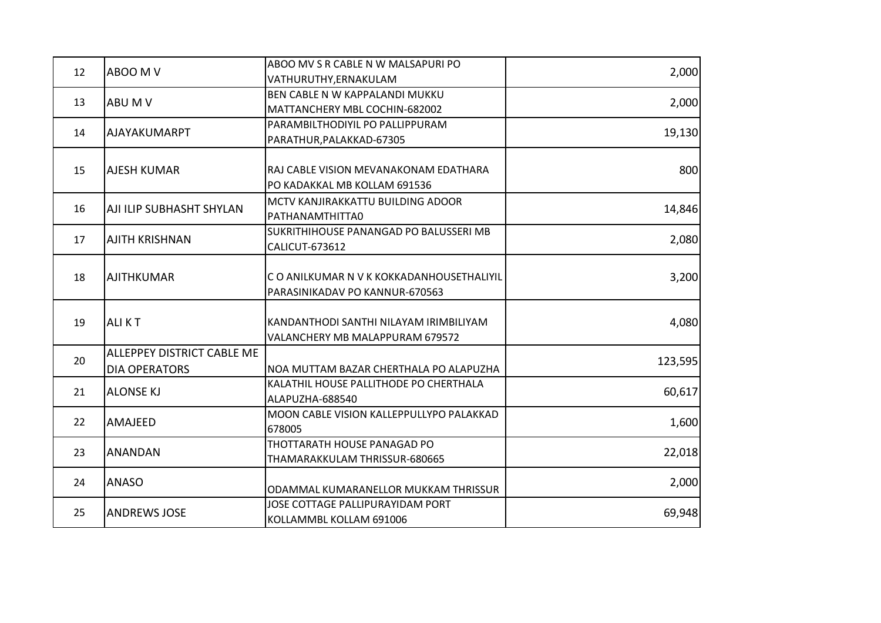| 12 | ABOO M V                   | ABOO MV S R CABLE N W MALSAPURI PO        | 2,000   |
|----|----------------------------|-------------------------------------------|---------|
|    |                            | VATHURUTHY, ERNAKULAM                     |         |
| 13 | ABU M V                    | BEN CABLE N W KAPPALANDI MUKKU            | 2,000   |
|    |                            | MATTANCHERY MBL COCHIN-682002             |         |
| 14 | <b>AJAYAKUMARPT</b>        | PARAMBILTHODIYIL PO PALLIPPURAM           | 19,130  |
|    |                            | PARATHUR, PALAKKAD-67305                  |         |
|    |                            |                                           |         |
| 15 | <b>AJESH KUMAR</b>         | RAJ CABLE VISION MEVANAKONAM EDATHARA     | 800     |
|    |                            | PO KADAKKAL MB KOLLAM 691536              |         |
| 16 | AJI ILIP SUBHASHT SHYLAN   | MCTV KANJIRAKKATTU BUILDING ADOOR         | 14,846  |
|    |                            | PATHANAMTHITTA0                           |         |
|    |                            | SUKRITHIHOUSE PANANGAD PO BALUSSERI MB    |         |
| 17 | <b>AJITH KRISHNAN</b>      | CALICUT-673612                            | 2,080   |
|    |                            |                                           |         |
| 18 | <b>AJITHKUMAR</b>          | C O ANILKUMAR N V K KOKKADANHOUSETHALIYIL | 3,200   |
|    |                            | PARASINIKADAV PO KANNUR-670563            |         |
|    |                            |                                           |         |
| 19 | <b>ALIKT</b>               | KANDANTHODI SANTHI NILAYAM IRIMBILIYAM    | 4,080   |
|    |                            | VALANCHERY MB MALAPPURAM 679572           |         |
| 20 | ALLEPPEY DISTRICT CABLE ME |                                           | 123,595 |
|    | <b>DIA OPERATORS</b>       | NOA MUTTAM BAZAR CHERTHALA PO ALAPUZHA    |         |
|    | <b>ALONSE KJ</b>           | KALATHIL HOUSE PALLITHODE PO CHERTHALA    |         |
| 21 |                            | ALAPUZHA-688540                           | 60,617  |
| 22 |                            | MOON CABLE VISION KALLEPPULLYPO PALAKKAD  |         |
|    | AMAJEED                    | 678005                                    | 1,600   |
| 23 | <b>ANANDAN</b>             | THOTTARATH HOUSE PANAGAD PO               | 22,018  |
|    |                            | THAMARAKKULAM THRISSUR-680665             |         |
| 24 | <b>ANASO</b>               |                                           | 2,000   |
|    |                            | ODAMMAL KUMARANELLOR MUKKAM THRISSUR      |         |
| 25 | <b>ANDREWS JOSE</b>        | JOSE COTTAGE PALLIPURAYIDAM PORT          | 69,948  |
|    |                            | KOLLAMMBL KOLLAM 691006                   |         |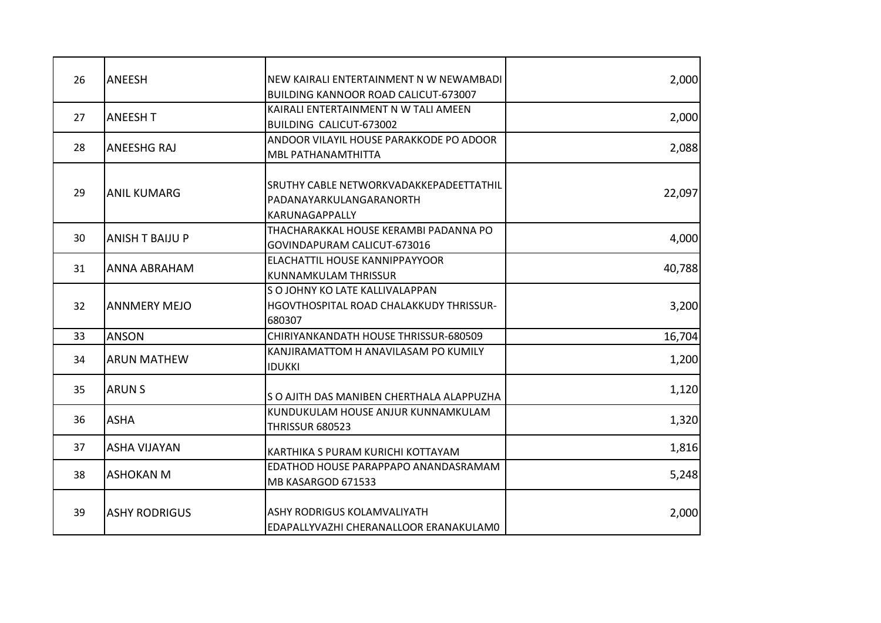| 26              | <b>ANEESH</b>          | NEW KAIRALI ENTERTAINMENT N W NEWAMBADI<br>BUILDING KANNOOR ROAD CALICUT-673007      | 2,000  |
|-----------------|------------------------|--------------------------------------------------------------------------------------|--------|
| 27              | <b>ANEESH T</b>        | KAIRALI ENTERTAINMENT N W TALI AMEEN<br>BUILDING CALICUT-673002                      | 2,000  |
| 28              | <b>ANEESHG RAJ</b>     | ANDOOR VILAYIL HOUSE PARAKKODE PO ADOOR<br>MBL PATHANAMTHITTA                        | 2,088  |
| 29              | <b>ANIL KUMARG</b>     | SRUTHY CABLE NETWORKVADAKKEPADEETTATHIL<br>PADANAYARKULANGARANORTH<br>KARUNAGAPPALLY | 22,097 |
| 30              | <b>ANISH T BAIJU P</b> | THACHARAKKAL HOUSE KERAMBI PADANNA PO<br>GOVINDAPURAM CALICUT-673016                 | 4,000  |
| 31              | ANNA ABRAHAM           | ELACHATTIL HOUSE KANNIPPAYYOOR<br><b>KUNNAMKULAM THRISSUR</b>                        | 40,788 |
| 32 <sup>2</sup> | <b>ANNMERY MEJO</b>    | S O JOHNY KO LATE KALLIVALAPPAN<br>HGOVTHOSPITAL ROAD CHALAKKUDY THRISSUR-<br>680307 | 3,200  |
| 33              | <b>ANSON</b>           | CHIRIYANKANDATH HOUSE THRISSUR-680509                                                | 16,704 |
| 34              | <b>ARUN MATHEW</b>     | KANJIRAMATTOM H ANAVILASAM PO KUMILY<br><b>IDUKKI</b>                                | 1,200  |
| 35              | <b>ARUNS</b>           | S O AJITH DAS MANIBEN CHERTHALA ALAPPUZHA                                            | 1,120  |
| 36              | <b>ASHA</b>            | KUNDUKULAM HOUSE ANJUR KUNNAMKULAM<br><b>THRISSUR 680523</b>                         | 1,320  |
| 37              | <b>ASHA VIJAYAN</b>    | KARTHIKA S PURAM KURICHI KOTTAYAM                                                    | 1,816  |
| 38              | <b>ASHOKAN M</b>       | EDATHOD HOUSE PARAPPAPO ANANDASRAMAM<br>MB KASARGOD 671533                           | 5,248  |
| 39              | <b>ASHY RODRIGUS</b>   | ASHY RODRIGUS KOLAMVALIYATH<br>EDAPALLYVAZHI CHERANALLOOR ERANAKULAMO                | 2,000  |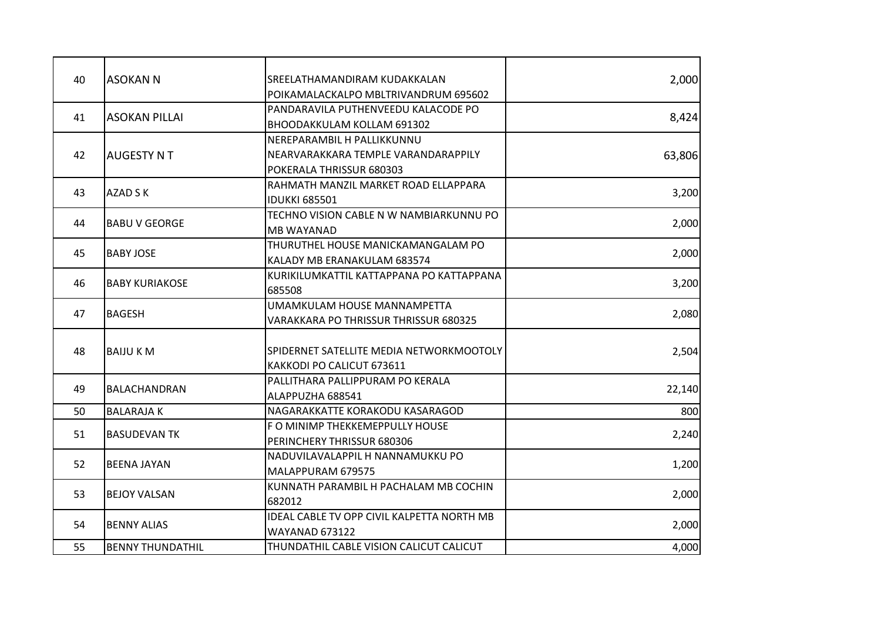| 40 | <b>ASOKAN N</b>         | SREELATHAMANDIRAM KUDAKKALAN               | 2,000  |
|----|-------------------------|--------------------------------------------|--------|
|    |                         | POIKAMALACKALPO MBLTRIVANDRUM 695602       |        |
|    |                         | PANDARAVILA PUTHENVEEDU KALACODE PO        |        |
| 41 | <b>ASOKAN PILLAI</b>    | BHOODAKKULAM KOLLAM 691302                 | 8,424  |
|    |                         | NEREPARAMBIL H PALLIKKUNNU                 |        |
| 42 | <b>AUGESTY N T</b>      | NEARVARAKKARA TEMPLE VARANDARAPPILY        | 63,806 |
|    |                         | POKERALA THRISSUR 680303                   |        |
|    |                         | RAHMATH MANZIL MARKET ROAD ELLAPPARA       |        |
| 43 | AZAD S K                | <b>IDUKKI 685501</b>                       | 3,200  |
|    |                         | TECHNO VISION CABLE N W NAMBIARKUNNU PO    |        |
| 44 | <b>BABU V GEORGE</b>    | <b>MB WAYANAD</b>                          | 2,000  |
|    |                         | THURUTHEL HOUSE MANICKAMANGALAM PO         |        |
| 45 | <b>BABY JOSE</b>        | KALADY MB ERANAKULAM 683574                | 2,000  |
|    |                         | KURIKILUMKATTIL KATTAPPANA PO KATTAPPANA   |        |
| 46 | <b>BABY KURIAKOSE</b>   | 685508                                     | 3,200  |
| 47 |                         | UMAMKULAM HOUSE MANNAMPETTA                | 2,080  |
|    | <b>BAGESH</b>           | VARAKKARA PO THRISSUR THRISSUR 680325      |        |
|    |                         |                                            |        |
| 48 | <b>BAIJU KM</b>         | SPIDERNET SATELLITE MEDIA NETWORKMOOTOLY   | 2,504  |
|    |                         | KAKKODI PO CALICUT 673611                  |        |
| 49 | BALACHANDRAN            | PALLITHARA PALLIPPURAM PO KERALA           | 22,140 |
|    |                         | ALAPPUZHA 688541                           |        |
| 50 | <b>BALARAJAK</b>        | NAGARAKKATTE KORAKODU KASARAGOD            | 800    |
| 51 | <b>BASUDEVAN TK</b>     | F O MINIMP THEKKEMEPPULLY HOUSE            | 2,240  |
|    |                         | PERINCHERY THRISSUR 680306                 |        |
| 52 | <b>BEENA JAYAN</b>      | NADUVILAVALAPPIL H NANNAMUKKU PO           | 1,200  |
|    |                         | MALAPPURAM 679575                          |        |
| 53 | <b>BEJOY VALSAN</b>     | KUNNATH PARAMBIL H PACHALAM MB COCHIN      | 2,000  |
|    |                         | 682012                                     |        |
| 54 | <b>BENNY ALIAS</b>      | IDEAL CABLE TV OPP CIVIL KALPETTA NORTH MB | 2,000  |
|    |                         | <b>WAYANAD 673122</b>                      |        |
| 55 | <b>BENNY THUNDATHIL</b> | THUNDATHIL CABLE VISION CALICUT CALICUT    | 4,000  |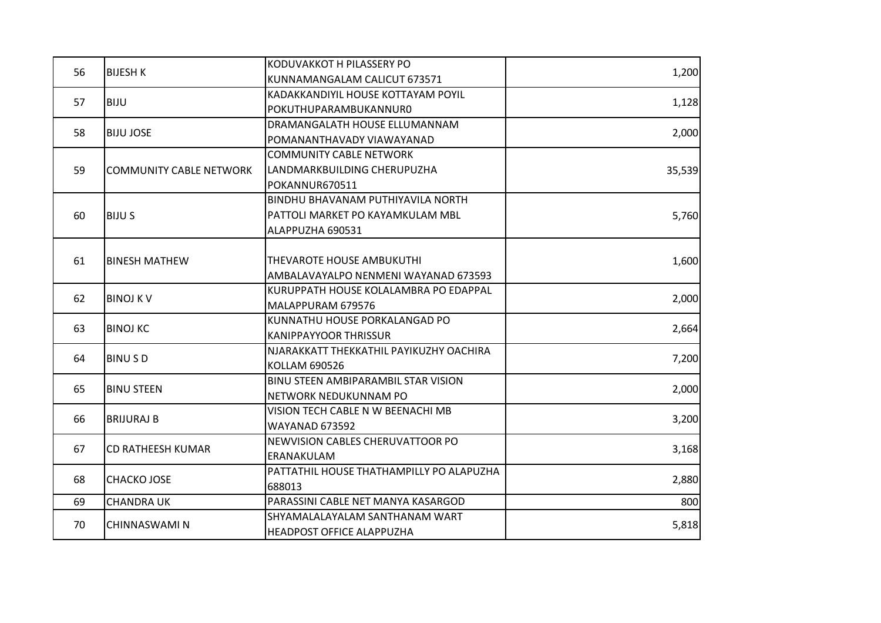|    |                                | KODUVAKKOT H PILASSERY PO                |        |
|----|--------------------------------|------------------------------------------|--------|
| 56 | <b>BIJESH K</b>                | KUNNAMANGALAM CALICUT 673571             | 1,200  |
| 57 | <b>BIJU</b>                    | KADAKKANDIYIL HOUSE KOTTAYAM POYIL       |        |
|    |                                | POKUTHUPARAMBUKANNUR0                    | 1,128  |
|    |                                | DRAMANGALATH HOUSE ELLUMANNAM            |        |
| 58 | <b>BIJU JOSE</b>               | POMANANTHAVADY VIAWAYANAD                | 2,000  |
|    |                                | <b>COMMUNITY CABLE NETWORK</b>           |        |
| 59 | <b>COMMUNITY CABLE NETWORK</b> | LANDMARKBUILDING CHERUPUZHA              | 35,539 |
|    |                                | POKANNUR670511                           |        |
|    |                                | BINDHU BHAVANAM PUTHIYAVILA NORTH        |        |
| 60 | <b>BIJU S</b>                  | PATTOLI MARKET PO KAYAMKULAM MBL         | 5,760  |
|    |                                | ALAPPUZHA 690531                         |        |
|    |                                |                                          |        |
| 61 | <b>BINESH MATHEW</b>           | THEVAROTE HOUSE AMBUKUTHI                | 1,600  |
|    |                                | AMBALAVAYALPO NENMENI WAYANAD 673593     |        |
| 62 | <b>BINOJ KV</b>                | KURUPPATH HOUSE KOLALAMBRA PO EDAPPAL    | 2,000  |
|    |                                | MALAPPURAM 679576                        |        |
| 63 | <b>BINOJ KC</b>                | KUNNATHU HOUSE PORKALANGAD PO            | 2,664  |
|    |                                | <b>KANIPPAYYOOR THRISSUR</b>             |        |
| 64 | <b>BINUSD</b>                  | NJARAKKATT THEKKATHIL PAYIKUZHY OACHIRA  | 7,200  |
|    |                                | KOLLAM 690526                            |        |
| 65 | <b>BINU STEEN</b>              | BINU STEEN AMBIPARAMBIL STAR VISION      | 2,000  |
|    |                                | NETWORK NEDUKUNNAM PO                    |        |
| 66 | <b>BRIJURAJ B</b>              | VISION TECH CABLE N W BEENACHI MB        | 3,200  |
|    |                                | <b>WAYANAD 673592</b>                    |        |
| 67 | <b>CD RATHEESH KUMAR</b>       | NEWVISION CABLES CHERUVATTOOR PO         | 3,168  |
|    |                                | ERANAKULAM                               |        |
| 68 | <b>CHACKO JOSE</b>             | PATTATHIL HOUSE THATHAMPILLY PO ALAPUZHA | 2,880  |
|    |                                | 688013                                   |        |
| 69 | <b>CHANDRA UK</b>              | PARASSINI CABLE NET MANYA KASARGOD       | 800    |
|    |                                | SHYAMALALAYALAM SANTHANAM WART           | 5,818  |
| 70 | CHINNASWAMI N                  | <b>HEADPOST OFFICE ALAPPUZHA</b>         |        |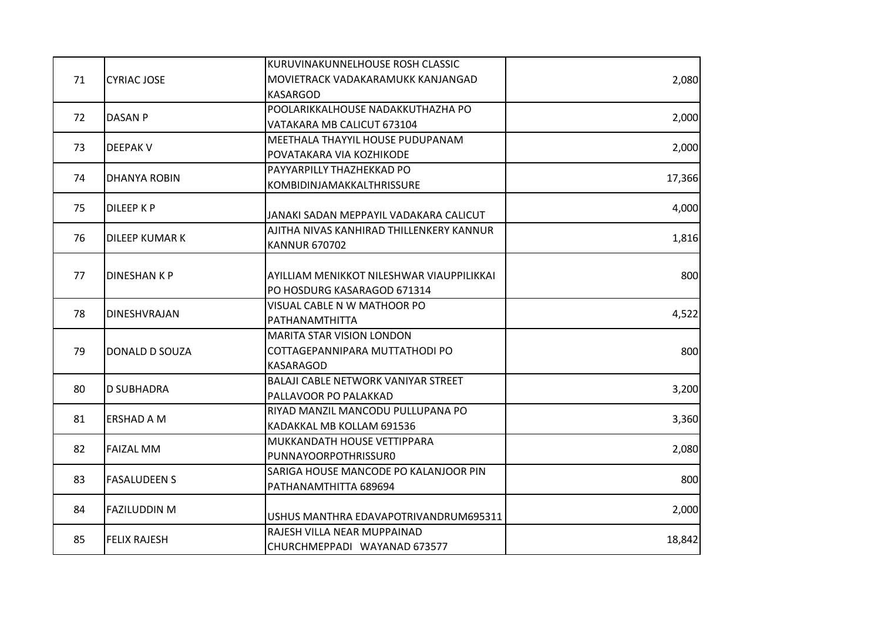|    |                     | KURUVINAKUNNELHOUSE ROSH CLASSIC           |        |
|----|---------------------|--------------------------------------------|--------|
| 71 | <b>CYRIAC JOSE</b>  | MOVIETRACK VADAKARAMUKK KANJANGAD          | 2,080  |
|    |                     | <b>KASARGOD</b>                            |        |
|    |                     | POOLARIKKALHOUSE NADAKKUTHAZHA PO          |        |
| 72 | <b>DASAN P</b>      | VATAKARA MB CALICUT 673104                 | 2,000  |
|    |                     | MEETHALA THAYYIL HOUSE PUDUPANAM           |        |
| 73 | <b>DEEPAK V</b>     | POVATAKARA VIA KOZHIKODE                   | 2,000  |
|    |                     | PAYYARPILLY THAZHEKKAD PO                  |        |
| 74 | <b>DHANYA ROBIN</b> | KOMBIDINJAMAKKALTHRISSURE                  | 17,366 |
| 75 |                     |                                            |        |
|    | <b>DILEEP K P</b>   | JANAKI SADAN MEPPAYIL VADAKARA CALICUT     | 4,000  |
|    |                     | AJITHA NIVAS KANHIRAD THILLENKERY KANNUR   |        |
| 76 | DILEEP KUMAR K      | <b>KANNUR 670702</b>                       | 1,816  |
|    |                     |                                            |        |
| 77 | <b>DINESHANKP</b>   | AYILLIAM MENIKKOT NILESHWAR VIAUPPILIKKAI  | 800    |
|    |                     | PO HOSDURG KASARAGOD 671314                |        |
|    | DINESHVRAJAN        | VISUAL CABLE N W MATHOOR PO                |        |
| 78 |                     | PATHANAMTHITTA                             | 4,522  |
|    |                     | MARITA STAR VISION LONDON                  |        |
| 79 | DONALD D SOUZA      | COTTAGEPANNIPARA MUTTATHODI PO             | 800    |
|    |                     | KASARAGOD                                  |        |
|    |                     | <b>BALAJI CABLE NETWORK VANIYAR STREET</b> |        |
| 80 | <b>D SUBHADRA</b>   | PALLAVOOR PO PALAKKAD                      | 3,200  |
|    |                     | RIYAD MANZIL MANCODU PULLUPANA PO          |        |
| 81 | <b>ERSHAD A M</b>   | KADAKKAL MB KOLLAM 691536                  | 3,360  |
|    |                     | MUKKANDATH HOUSE VETTIPPARA                |        |
| 82 | <b>FAIZAL MM</b>    | PUNNAYOORPOTHRISSUR0                       | 2,080  |
|    |                     | SARIGA HOUSE MANCODE PO KALANJOOR PIN      |        |
| 83 | <b>FASALUDEEN S</b> | PATHANAMTHITTA 689694                      | 800    |
|    |                     |                                            |        |
| 84 | <b>FAZILUDDIN M</b> | USHUS MANTHRA EDAVAPOTRIVANDRUM695311      | 2,000  |
|    |                     | RAJESH VILLA NEAR MUPPAINAD                |        |
| 85 | <b>FELIX RAJESH</b> | CHURCHMEPPADI WAYANAD 673577               | 18,842 |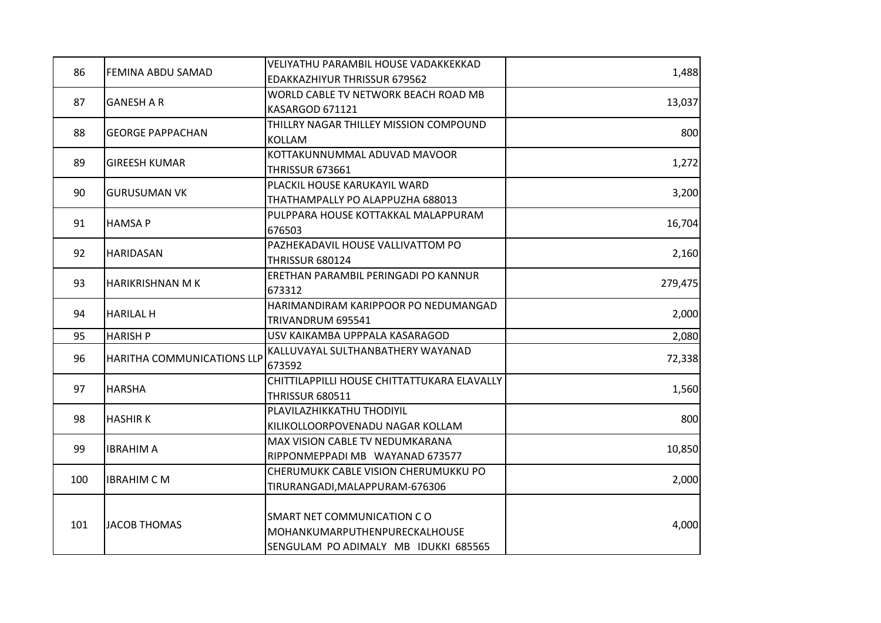|     |                            | VELIYATHU PARAMBIL HOUSE VADAKKEKKAD        |         |
|-----|----------------------------|---------------------------------------------|---------|
| 86  | FEMINA ABDU SAMAD          | EDAKKAZHIYUR THRISSUR 679562                | 1,488   |
|     |                            | WORLD CABLE TV NETWORK BEACH ROAD MB        |         |
| 87  | <b>GANESH A R</b>          | KASARGOD 671121                             | 13,037  |
|     |                            | THILLRY NAGAR THILLEY MISSION COMPOUND      |         |
| 88  | <b>GEORGE PAPPACHAN</b>    | <b>KOLLAM</b>                               | 800     |
|     |                            | KOTTAKUNNUMMAL ADUVAD MAVOOR                |         |
| 89  | <b>GIREESH KUMAR</b>       | <b>THRISSUR 673661</b>                      | 1,272   |
|     |                            | PLACKIL HOUSE KARUKAYIL WARD                |         |
| 90  | <b>GURUSUMAN VK</b>        | THATHAMPALLY PO ALAPPUZHA 688013            | 3,200   |
|     |                            | PULPPARA HOUSE KOTTAKKAL MALAPPURAM         |         |
| 91  | <b>HAMSAP</b>              | 676503                                      | 16,704  |
|     |                            | PAZHEKADAVIL HOUSE VALLIVATTOM PO           |         |
| 92  | <b>HARIDASAN</b>           | <b>THRISSUR 680124</b>                      | 2,160   |
|     | <b>HARIKRISHNAN MK</b>     | ERETHAN PARAMBIL PERINGADI PO KANNUR        |         |
| 93  |                            | 673312                                      | 279,475 |
|     | <b>HARILAL H</b>           | HARIMANDIRAM KARIPPOOR PO NEDUMANGAD        |         |
| 94  |                            | TRIVANDRUM 695541                           | 2,000   |
| 95  | <b>HARISH P</b>            | USV KAIKAMBA UPPPALA KASARAGOD              | 2,080   |
|     | HARITHA COMMUNICATIONS LLP | KALLUVAYAL SULTHANBATHERY WAYANAD           |         |
| 96  |                            | 673592                                      | 72,338  |
|     |                            | CHITTILAPPILLI HOUSE CHITTATTUKARA ELAVALLY |         |
| 97  | <b>HARSHA</b>              | <b>THRISSUR 680511</b>                      | 1,560   |
|     |                            | PLAVILAZHIKKATHU THODIYIL                   |         |
| 98  | <b>HASHIRK</b>             | KILIKOLLOORPOVENADU NAGAR KOLLAM            | 800     |
|     |                            | MAX VISION CABLE TV NEDUMKARANA             |         |
| 99  | <b>IBRAHIM A</b>           | RIPPONMEPPADI MB WAYANAD 673577             | 10,850  |
|     |                            | CHERUMUKK CABLE VISION CHERUMUKKU PO        |         |
| 100 | <b>IBRAHIM C M</b>         | TIRURANGADI, MALAPPURAM-676306              | 2,000   |
|     |                            |                                             |         |
| 101 | <b>JACOB THOMAS</b>        | SMART NET COMMUNICATION CO                  |         |
|     |                            | MOHANKUMARPUTHENPURECKALHOUSE               | 4,000   |
|     |                            | SENGULAM PO ADIMALY MB IDUKKI 685565        |         |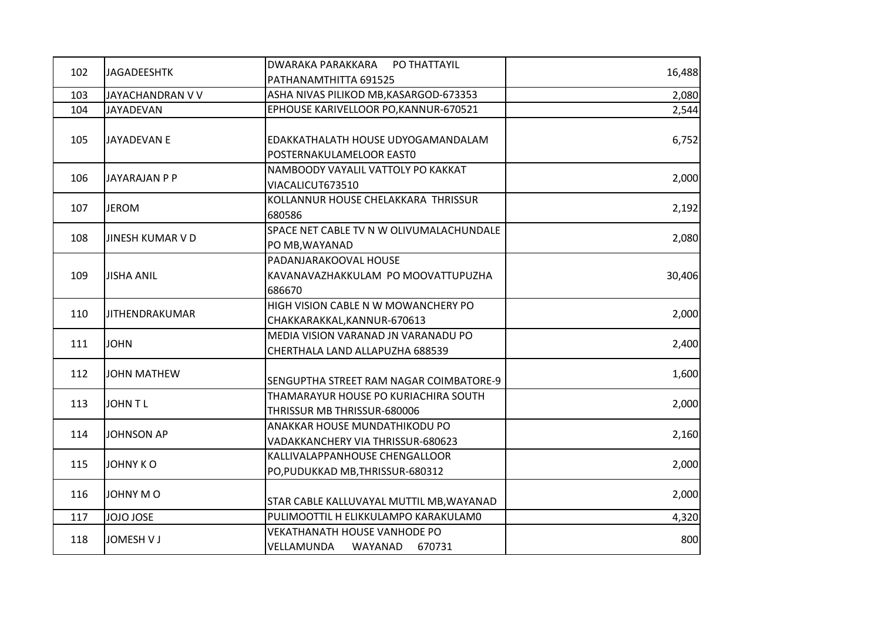|     |                         | DWARAKA PARAKKARA<br>PO THATTAYIL                                      |        |
|-----|-------------------------|------------------------------------------------------------------------|--------|
| 102 | <b>JAGADEESHTK</b>      | PATHANAMTHITTA 691525                                                  | 16,488 |
| 103 | JAYACHANDRAN V V        | ASHA NIVAS PILIKOD MB, KASARGOD-673353                                 | 2,080  |
| 104 | JAYADEVAN               | EPHOUSE KARIVELLOOR PO, KANNUR-670521                                  | 2,544  |
| 105 | <b>JAYADEVAN E</b>      | EDAKKATHALATH HOUSE UDYOGAMANDALAM<br>POSTERNAKULAMELOOR EAST0         | 6,752  |
| 106 | <b>JAYARAJAN P P</b>    | NAMBOODY VAYALIL VATTOLY PO KAKKAT<br>VIACALICUT673510                 | 2,000  |
| 107 | <b>JEROM</b>            | KOLLANNUR HOUSE CHELAKKARA THRISSUR<br>680586                          | 2,192  |
| 108 | <b>JINESH KUMAR V D</b> | SPACE NET CABLE TV N W OLIVUMALACHUNDALE<br>PO MB, WAYANAD             | 2,080  |
| 109 | <b>JISHA ANIL</b>       | PADANJARAKOOVAL HOUSE<br>KAVANAVAZHAKKULAM PO MOOVATTUPUZHA<br>686670  | 30,406 |
| 110 | <b>JITHENDRAKUMAR</b>   | HIGH VISION CABLE N W MOWANCHERY PO<br>CHAKKARAKKAL, KANNUR-670613     | 2,000  |
| 111 | <b>JOHN</b>             | MEDIA VISION VARANAD JN VARANADU PO<br>CHERTHALA LAND ALLAPUZHA 688539 | 2,400  |
| 112 | <b>JOHN MATHEW</b>      | SENGUPTHA STREET RAM NAGAR COIMBATORE-9                                | 1,600  |
| 113 | JOHN TL                 | THAMARAYUR HOUSE PO KURIACHIRA SOUTH<br>THRISSUR MB THRISSUR-680006    | 2,000  |
| 114 | <b>JOHNSON AP</b>       | ANAKKAR HOUSE MUNDATHIKODU PO<br>VADAKKANCHERY VIA THRISSUR-680623     | 2,160  |
| 115 | <b>JOHNY KO</b>         | KALLIVALAPPANHOUSE CHENGALLOOR<br>PO, PUDUKKAD MB, THRISSUR-680312     | 2,000  |
| 116 | <b>JOHNY MO</b>         | STAR CABLE KALLUVAYAL MUTTIL MB, WAYANAD                               | 2,000  |
| 117 | JOJO JOSE               | PULIMOOTTIL H ELIKKULAMPO KARAKULAMO                                   | 4,320  |
| 118 | <b>JOMESH V J</b>       | <b>VEKATHANATH HOUSE VANHODE PO</b><br>VELLAMUNDA<br>WAYANAD<br>670731 | 800    |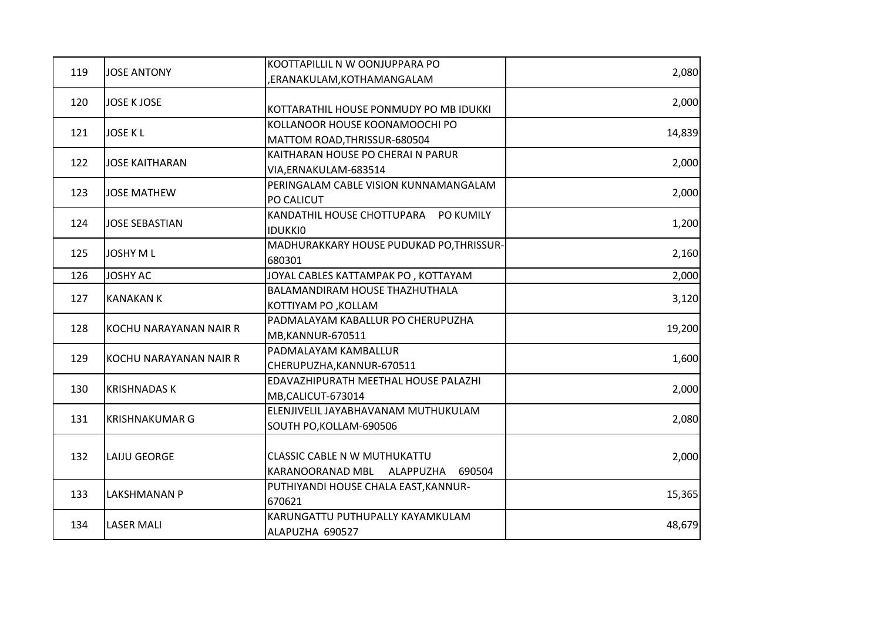|     |                        | KOOTTAPILLIL N W OONJUPPARA PO           |        |
|-----|------------------------|------------------------------------------|--------|
| 119 | <b>JOSE ANTONY</b>     | ,ERANAKULAM,KOTHAMANGALAM                | 2,080  |
| 120 | <b>JOSE K JOSE</b>     |                                          | 2,000  |
|     |                        | KOTTARATHIL HOUSE PONMUDY PO MB IDUKKI   |        |
| 121 | <b>JOSE KL</b>         | KOLLANOOR HOUSE KOONAMOOCHI PO           | 14,839 |
|     |                        | MATTOM ROAD, THRISSUR-680504             |        |
| 122 | <b>JOSE KAITHARAN</b>  | KAITHARAN HOUSE PO CHERAI N PARUR        | 2,000  |
|     |                        | VIA, ERNAKULAM-683514                    |        |
|     |                        | PERINGALAM CABLE VISION KUNNAMANGALAM    |        |
| 123 | <b>JOSE MATHEW</b>     | PO CALICUT                               | 2,000  |
|     |                        | KANDATHIL HOUSE CHOTTUPARA PO KUMILY     |        |
| 124 | <b>JOSE SEBASTIAN</b>  | <b>IDUKKIO</b>                           | 1,200  |
|     |                        | MADHURAKKARY HOUSE PUDUKAD PO, THRISSUR- |        |
| 125 | <b>JOSHY ML</b>        | 680301                                   | 2,160  |
| 126 | <b>JOSHY AC</b>        | JOYAL CABLES KATTAMPAK PO, KOTTAYAM      | 2,000  |
|     | <b>KANAKAN K</b>       | BALAMANDIRAM HOUSE THAZHUTHALA           |        |
| 127 |                        | KOTTIYAM PO, KOLLAM                      | 3,120  |
|     | KOCHU NARAYANAN NAIR R | PADMALAYAM KABALLUR PO CHERUPUZHA        |        |
| 128 |                        | MB, KANNUR-670511                        | 19,200 |
| 129 |                        | PADMALAYAM KAMBALLUR                     |        |
|     | KOCHU NARAYANAN NAIR R | CHERUPUZHA, KANNUR-670511                | 1,600  |
|     |                        | EDAVAZHIPURATH MEETHAL HOUSE PALAZHI     |        |
| 130 | <b>KRISHNADAS K</b>    | MB,CALICUT-673014                        | 2,000  |
| 131 |                        | ELENJIVELIL JAYABHAVANAM MUTHUKULAM      |        |
|     | <b>KRISHNAKUMAR G</b>  | SOUTH PO, KOLLAM-690506                  | 2,080  |
|     |                        |                                          |        |
| 132 | LAIJU GEORGE           | CLASSIC CABLE N W MUTHUKATTU             | 2,000  |
|     |                        | KARANOORANAD MBL<br>ALAPPUZHA<br>690504  |        |
| 133 | LAKSHMANAN P           | PUTHIYANDI HOUSE CHALA EAST, KANNUR-     |        |
|     |                        | 670621                                   | 15,365 |
| 134 | <b>LASER MALI</b>      | KARUNGATTU PUTHUPALLY KAYAMKULAM         | 48,679 |
|     |                        | ALAPUZHA 690527                          |        |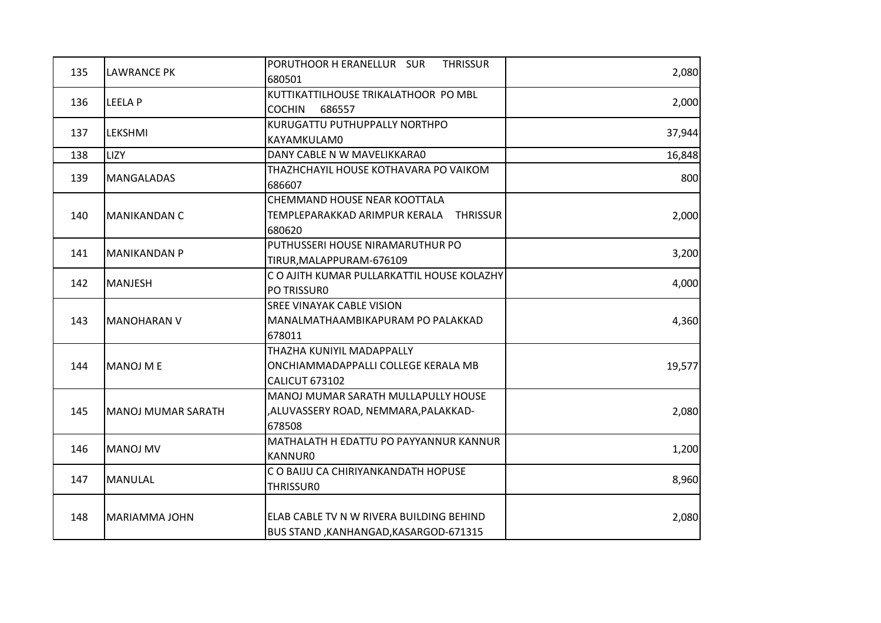| 135 | <b>LAWRANCE PK</b>   | PORUTHOOR H ERANELLUR SUR<br><b>THRISSUR</b> |        |
|-----|----------------------|----------------------------------------------|--------|
|     |                      | 680501                                       | 2,080  |
| 136 | LEELA P              | KUTTIKATTILHOUSE TRIKALATHOOR PO MBL         |        |
|     |                      | <b>COCHIN</b><br>686557                      | 2,000  |
|     |                      | KURUGATTU PUTHUPPALLY NORTHPO                |        |
| 137 | LEKSHMI              | KAYAMKULAM0                                  | 37,944 |
| 138 | <b>LIZY</b>          | DANY CABLE N W MAVELIKKARA0                  | 16,848 |
|     |                      | THAZHCHAYIL HOUSE KOTHAVARA PO VAIKOM        |        |
| 139 | <b>MANGALADAS</b>    | 686607                                       | 800    |
|     |                      | CHEMMAND HOUSE NEAR KOOTTALA                 |        |
| 140 | MANIKANDAN C         | TEMPLEPARAKKAD ARIMPUR KERALA THRISSUR       | 2,000  |
|     |                      | 680620                                       |        |
|     |                      | PUTHUSSERI HOUSE NIRAMARUTHUR PO             |        |
| 141 | <b>MANIKANDAN P</b>  | TIRUR, MALAPPURAM-676109                     | 3,200  |
|     | <b>MANJESH</b>       | C O AJITH KUMAR PULLARKATTIL HOUSE KOLAZHY   |        |
| 142 |                      | PO TRISSURO                                  | 4,000  |
|     |                      | <b>SREE VINAYAK CABLE VISION</b>             |        |
| 143 | <b>MANOHARAN V</b>   | MANALMATHAAMBIKAPURAM PO PALAKKAD            | 4,360  |
|     |                      | 678011                                       |        |
|     |                      | THAZHA KUNIYIL MADAPPALLY                    |        |
| 144 | MANOJ M E            | ONCHIAMMADAPPALLI COLLEGE KERALA MB          | 19,577 |
|     |                      | <b>CALICUT 673102</b>                        |        |
|     |                      | MANOJ MUMAR SARATH MULLAPULLY HOUSE          |        |
| 145 | MANOJ MUMAR SARATH   | ,ALUVASSERY ROAD, NEMMARA,PALAKKAD-          | 2,080  |
|     |                      | 678508                                       |        |
| 146 | <b>MANOJ MV</b>      | MATHALATH H EDATTU PO PAYYANNUR KANNUR       |        |
|     |                      | <b>KANNURO</b>                               | 1,200  |
|     |                      | C O BAIJU CA CHIRIYANKANDATH HOPUSE          | 8,960  |
| 147 | <b>MANULAL</b>       | <b>THRISSURO</b>                             |        |
|     |                      |                                              |        |
| 148 | <b>MARIAMMA JOHN</b> | ELAB CABLE TV N W RIVERA BUILDING BEHIND     | 2,080  |
|     |                      | BUS STAND, KANHANGAD, KASARGOD-671315        |        |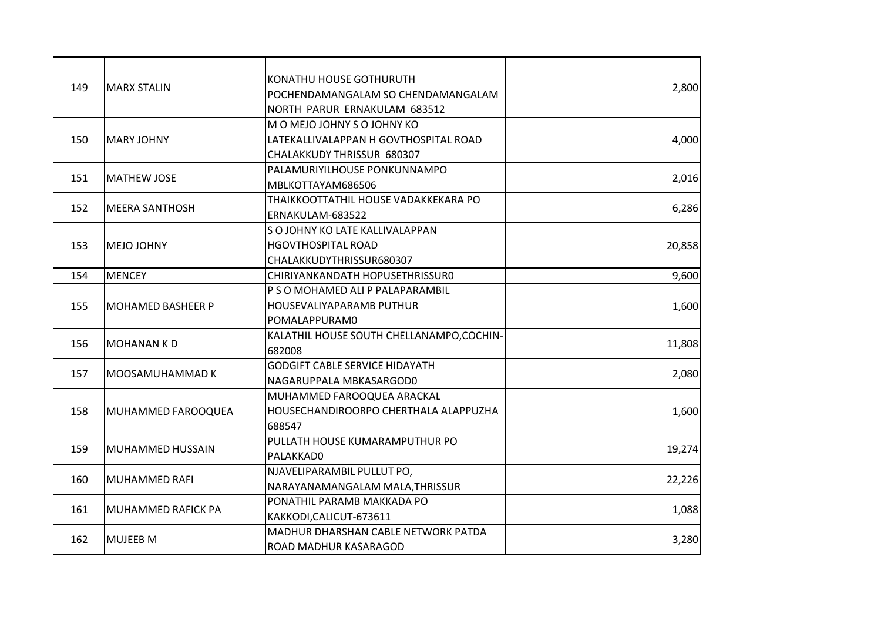| 149 | <b>MARX STALIN</b>        | KONATHU HOUSE GOTHURUTH<br>POCHENDAMANGALAM SO CHENDAMANGALAM<br>NORTH PARUR ERNAKULAM 683512      | 2,800  |
|-----|---------------------------|----------------------------------------------------------------------------------------------------|--------|
| 150 | <b>MARY JOHNY</b>         | M O MEJO JOHNY S O JOHNY KO<br>LATEKALLIVALAPPAN H GOVTHOSPITAL ROAD<br>CHALAKKUDY THRISSUR 680307 | 4,000  |
| 151 | <b>MATHEW JOSE</b>        | PALAMURIYILHOUSE PONKUNNAMPO<br>MBLKOTTAYAM686506                                                  | 2,016  |
| 152 | <b>MEERA SANTHOSH</b>     | THAIKKOOTTATHIL HOUSE VADAKKEKARA PO<br>ERNAKULAM-683522                                           | 6,286  |
| 153 | <b>MEJO JOHNY</b>         | S O JOHNY KO LATE KALLIVALAPPAN<br><b>HGOVTHOSPITAL ROAD</b><br>CHALAKKUDYTHRISSUR680307           | 20,858 |
| 154 | <b>MENCEY</b>             | CHIRIYANKANDATH HOPUSETHRISSURO                                                                    | 9,600  |
| 155 | <b>MOHAMED BASHEER P</b>  | P S O MOHAMED ALI P PALAPARAMBIL<br>HOUSEVALIYAPARAMB PUTHUR<br>POMALAPPURAM0                      | 1,600  |
| 156 | <b>MOHANAN KD</b>         | KALATHIL HOUSE SOUTH CHELLANAMPO, COCHIN-<br>682008                                                | 11,808 |
| 157 | MOOSAMUHAMMAD K           | <b>GODGIFT CABLE SERVICE HIDAYATH</b><br>NAGARUPPALA MBKASARGOD0                                   | 2,080  |
| 158 | MUHAMMED FAROOQUEA        | MUHAMMED FAROOQUEA ARACKAL<br>HOUSECHANDIROORPO CHERTHALA ALAPPUZHA<br>688547                      | 1,600  |
| 159 | <b>MUHAMMED HUSSAIN</b>   | PULLATH HOUSE KUMARAMPUTHUR PO<br>PALAKKAD0                                                        | 19,274 |
| 160 | <b>MUHAMMED RAFI</b>      | NJAVELIPARAMBIL PULLUT PO,<br>NARAYANAMANGALAM MALA, THRISSUR                                      | 22,226 |
| 161 | <b>MUHAMMED RAFICK PA</b> | PONATHIL PARAMB MAKKADA PO<br>KAKKODI, CALICUT-673611                                              | 1,088  |
| 162 | <b>MUJEEB M</b>           | MADHUR DHARSHAN CABLE NETWORK PATDA<br>ROAD MADHUR KASARAGOD                                       | 3,280  |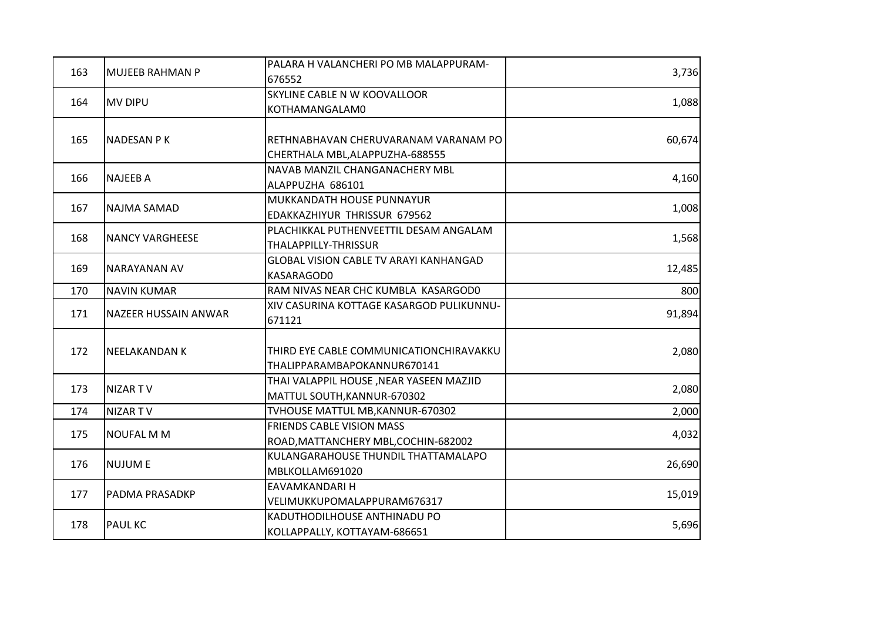|     |                             | PALARA H VALANCHERI PO MB MALAPPURAM-    |        |
|-----|-----------------------------|------------------------------------------|--------|
| 163 | <b>MUJEEB RAHMAN P</b>      | 676552                                   | 3,736  |
|     |                             | SKYLINE CABLE N W KOOVALLOOR             |        |
| 164 | <b>MV DIPU</b>              | KOTHAMANGALAM0                           | 1,088  |
|     |                             |                                          |        |
| 165 | <b>NADESAN PK</b>           | RETHNABHAVAN CHERUVARANAM VARANAM PO     | 60,674 |
|     |                             | CHERTHALA MBL, ALAPPUZHA-688555          |        |
| 166 | <b>NAJEEB A</b>             | NAVAB MANZIL CHANGANACHERY MBL           | 4,160  |
|     |                             | ALAPPUZHA 686101                         |        |
| 167 | <b>NAJMA SAMAD</b>          | MUKKANDATH HOUSE PUNNAYUR                | 1,008  |
|     |                             | EDAKKAZHIYUR THRISSUR 679562             |        |
| 168 | <b>NANCY VARGHEESE</b>      | PLACHIKKAL PUTHENVEETTIL DESAM ANGALAM   | 1,568  |
|     |                             | THALAPPILLY-THRISSUR                     |        |
|     |                             | GLOBAL VISION CABLE TV ARAYI KANHANGAD   |        |
| 169 | <b>NARAYANAN AV</b>         | KASARAGOD0                               | 12,485 |
| 170 | <b>NAVIN KUMAR</b>          | RAM NIVAS NEAR CHC KUMBLA KASARGOD0      | 800    |
|     | <b>NAZEER HUSSAIN ANWAR</b> | XIV CASURINA KOTTAGE KASARGOD PULIKUNNU- |        |
| 171 |                             | 671121                                   | 91,894 |
|     |                             |                                          |        |
| 172 | <b>NEELAKANDAN K</b>        | THIRD EYE CABLE COMMUNICATIONCHIRAVAKKU  | 2,080  |
|     |                             | THALIPPARAMBAPOKANNUR670141              |        |
| 173 | NIZAR TV                    | THAI VALAPPIL HOUSE, NEAR YASEEN MAZJID  | 2,080  |
|     |                             | MATTUL SOUTH, KANNUR-670302              |        |
| 174 | NIZAR TV                    | TVHOUSE MATTUL MB, KANNUR-670302         | 2,000  |
| 175 | <b>NOUFAL MM</b>            | FRIENDS CABLE VISION MASS                | 4,032  |
|     |                             | ROAD, MATTANCHERY MBL, COCHIN-682002     |        |
| 176 | <b>NUJUME</b>               | KULANGARAHOUSE THUNDIL THATTAMALAPO      |        |
|     |                             | MBLKOLLAM691020                          | 26,690 |
|     |                             | EAVAMKANDARI H                           |        |
| 177 | <b>PADMA PRASADKP</b>       | VELIMUKKUPOMALAPPURAM676317              | 15,019 |
|     |                             | KADUTHODILHOUSE ANTHINADU PO             |        |
| 178 | <b>PAUL KC</b>              | KOLLAPPALLY, KOTTAYAM-686651             | 5,696  |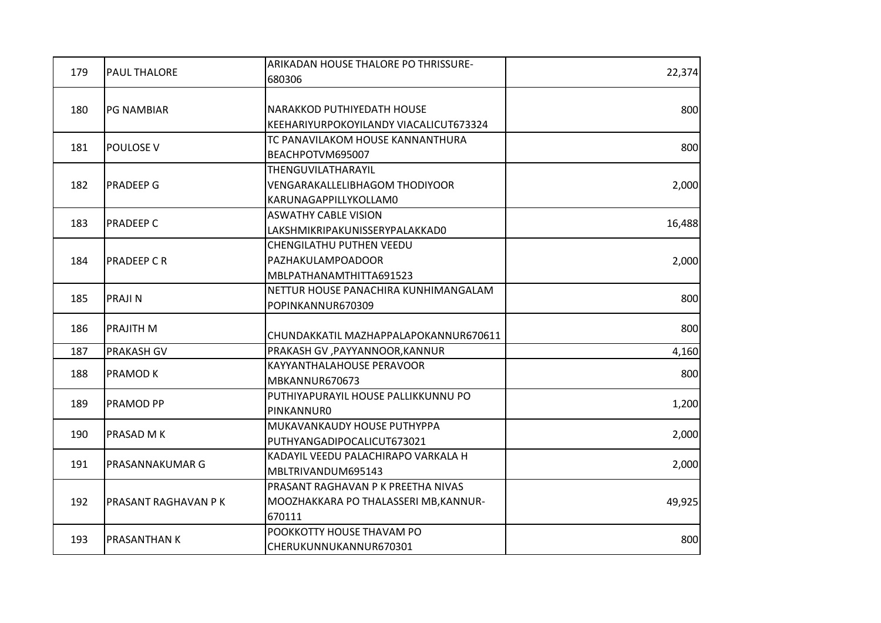| 179 | <b>PAUL THALORE</b>         | ARIKADAN HOUSE THALORE PO THRISSURE-                                                  | 22,374 |
|-----|-----------------------------|---------------------------------------------------------------------------------------|--------|
|     |                             | 680306                                                                                |        |
| 180 | <b>PG NAMBIAR</b>           | NARAKKOD PUTHIYEDATH HOUSE<br>KEEHARIYURPOKOYILANDY VIACALICUT673324                  | 800    |
| 181 | <b>POULOSE V</b>            | TC PANAVILAKOM HOUSE KANNANTHURA<br>BEACHPOTVM695007                                  | 800    |
| 182 | <b>PRADEEP G</b>            | THENGUVILATHARAYIL<br><b>VENGARAKALLELIBHAGOM THODIYOOR</b><br>KARUNAGAPPILLYKOLLAM0  | 2,000  |
| 183 | <b>PRADEEP C</b>            | <b>ASWATHY CABLE VISION</b><br>LAKSHMIKRIPAKUNISSERYPALAKKAD0                         | 16,488 |
| 184 | <b>PRADEEP C R</b>          | CHENGILATHU PUTHEN VEEDU<br>PAZHAKULAMPOADOOR<br>MBLPATHANAMTHITTA691523              | 2,000  |
| 185 | <b>PRAJIN</b>               | NETTUR HOUSE PANACHIRA KUNHIMANGALAM<br>POPINKANNUR670309                             | 800    |
| 186 | <b>PRAJITH M</b>            | CHUNDAKKATIL MAZHAPPALAPOKANNUR670611                                                 | 800    |
| 187 | PRAKASH GV                  | PRAKASH GV , PAYYANNOOR, KANNUR                                                       | 4,160  |
| 188 | <b>PRAMODK</b>              | KAYYANTHALAHOUSE PERAVOOR<br>MBKANNUR670673                                           | 800    |
| 189 | <b>PRAMOD PP</b>            | PUTHIYAPURAYIL HOUSE PALLIKKUNNU PO<br><b>PINKANNURO</b>                              | 1,200  |
| 190 | <b>PRASAD M K</b>           | MUKAVANKAUDY HOUSE PUTHYPPA<br>PUTHYANGADIPOCALICUT673021                             | 2,000  |
| 191 | PRASANNAKUMAR G             | KADAYIL VEEDU PALACHIRAPO VARKALA H<br>MBLTRIVANDUM695143                             | 2,000  |
| 192 | <b>PRASANT RAGHAVAN P K</b> | PRASANT RAGHAVAN P K PREETHA NIVAS<br>MOOZHAKKARA PO THALASSERI MB, KANNUR-<br>670111 | 49,925 |
| 193 | <b>PRASANTHANK</b>          | POOKKOTTY HOUSE THAVAM PO<br>CHERUKUNNUKANNUR670301                                   | 800    |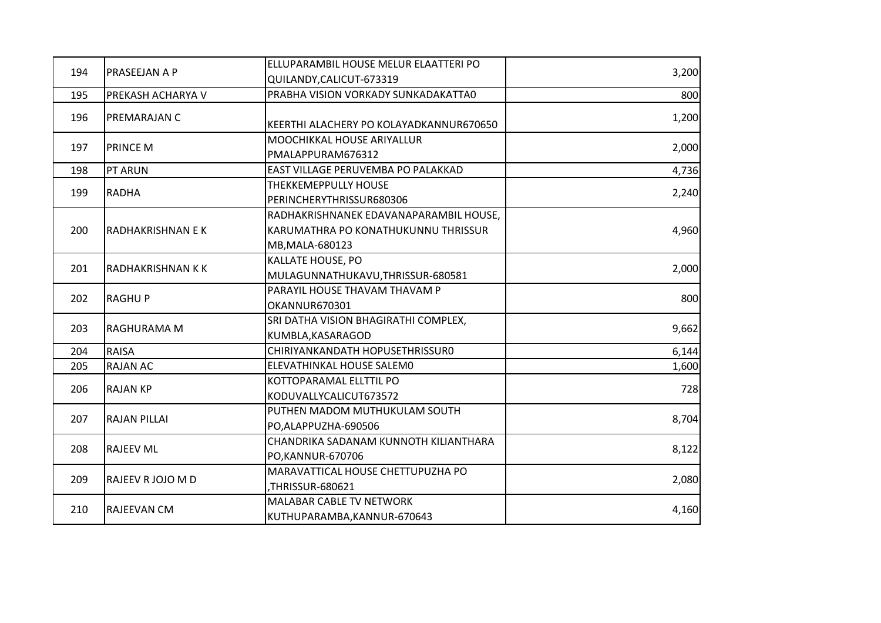|     | PRASEEJAN A P            | ELLUPARAMBIL HOUSE MELUR ELAATTERI PO                                                            |       |
|-----|--------------------------|--------------------------------------------------------------------------------------------------|-------|
| 194 |                          | QUILANDY, CALICUT-673319                                                                         | 3,200 |
| 195 | PREKASH ACHARYA V        | PRABHA VISION VORKADY SUNKADAKATTA0                                                              | 800   |
| 196 | PREMARAJAN C             | KEERTHI ALACHERY PO KOLAYADKANNUR670650                                                          | 1,200 |
| 197 | <b>PRINCE M</b>          | MOOCHIKKAL HOUSE ARIYALLUR<br>PMALAPPURAM676312                                                  | 2,000 |
| 198 | <b>PT ARUN</b>           | EAST VILLAGE PERUVEMBA PO PALAKKAD                                                               | 4,736 |
| 199 | <b>RADHA</b>             | THEKKEMEPPULLY HOUSE<br>PERINCHERYTHRISSUR680306                                                 | 2,240 |
| 200 | <b>RADHAKRISHNAN E K</b> | RADHAKRISHNANEK EDAVANAPARAMBIL HOUSE,<br>KARUMATHRA PO KONATHUKUNNU THRISSUR<br>MB, MALA-680123 | 4,960 |
| 201 | <b>RADHAKRISHNAN KK</b>  | KALLATE HOUSE, PO<br>MULAGUNNATHUKAVU, THRISSUR-680581                                           | 2,000 |
| 202 | <b>RAGHUP</b>            | PARAYIL HOUSE THAVAM THAVAM P<br>OKANNUR670301                                                   | 800   |
| 203 | RAGHURAMA M              | SRI DATHA VISION BHAGIRATHI COMPLEX,<br>KUMBLA, KASARAGOD                                        | 9,662 |
| 204 | <b>RAISA</b>             | CHIRIYANKANDATH HOPUSETHRISSURO                                                                  | 6,144 |
| 205 | <b>RAJAN AC</b>          | ELEVATHINKAL HOUSE SALEMO                                                                        | 1,600 |
| 206 | <b>RAJAN KP</b>          | KOTTOPARAMAL ELLTTIL PO<br>KODUVALLYCALICUT673572                                                | 728   |
| 207 | <b>RAJAN PILLAI</b>      | PUTHEN MADOM MUTHUKULAM SOUTH<br>PO,ALAPPUZHA-690506                                             | 8,704 |
| 208 | <b>RAJEEV ML</b>         | CHANDRIKA SADANAM KUNNOTH KILIANTHARA<br>PO,KANNUR-670706                                        | 8,122 |
| 209 | RAJEEV R JOJO M D        | MARAVATTICAL HOUSE CHETTUPUZHA PO<br>THRISSUR-680621,                                            | 2,080 |
| 210 | <b>RAJEEVAN CM</b>       | MALABAR CABLE TV NETWORK<br>KUTHUPARAMBA, KANNUR-670643                                          | 4,160 |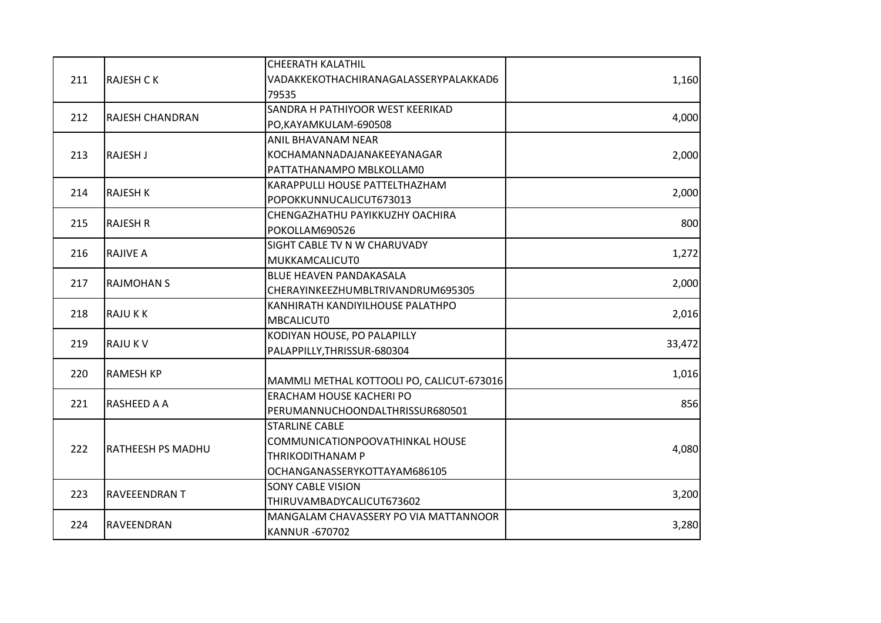|     |                          | <b>CHEERATH KALATHIL</b>                  |        |
|-----|--------------------------|-------------------------------------------|--------|
| 211 | <b>RAJESH CK</b>         | VADAKKEKOTHACHIRANAGALASSERYPALAKKAD6     | 1,160  |
|     |                          | 79535                                     |        |
|     |                          | SANDRA H PATHIYOOR WEST KEERIKAD          |        |
| 212 | RAJESH CHANDRAN          | PO,KAYAMKULAM-690508                      | 4,000  |
|     |                          | ANIL BHAVANAM NEAR                        |        |
| 213 | <b>RAJESH J</b>          | KOCHAMANNADAJANAKEEYANAGAR                | 2,000  |
|     |                          | PATTATHANAMPO MBLKOLLAM0                  |        |
|     |                          | KARAPPULLI HOUSE PATTELTHAZHAM            |        |
| 214 | <b>RAJESH K</b>          | POPOKKUNNUCALICUT673013                   | 2,000  |
|     |                          | CHENGAZHATHU PAYIKKUZHY OACHIRA           |        |
| 215 | <b>RAJESH R</b>          | POKOLLAM690526                            | 800    |
|     |                          | SIGHT CABLE TV N W CHARUVADY              |        |
| 216 | <b>RAJIVE A</b>          | <b>MUKKAMCALICUT0</b>                     | 1,272  |
|     |                          | BLUE HEAVEN PANDAKASALA                   |        |
| 217 | <b>RAJMOHAN S</b>        | CHERAYINKEEZHUMBLTRIVANDRUM695305         | 2,000  |
|     |                          | KANHIRATH KANDIYILHOUSE PALATHPO          |        |
| 218 | <b>RAJUKK</b>            | <b>MBCALICUTO</b>                         | 2,016  |
|     | <b>RAJUKV</b>            | KODIYAN HOUSE, PO PALAPILLY               |        |
| 219 |                          | PALAPPILLY, THRISSUR-680304               | 33,472 |
| 220 | <b>RAMESH KP</b>         |                                           | 1,016  |
|     |                          | MAMMLI METHAL KOTTOOLI PO, CALICUT-673016 |        |
| 221 | <b>RASHEED A A</b>       | ERACHAM HOUSE KACHERI PO                  | 856    |
|     |                          | PERUMANNUCHOONDALTHRISSUR680501           |        |
|     |                          | <b>STARLINE CABLE</b>                     |        |
| 222 | <b>RATHEESH PS MADHU</b> | COMMUNICATIONPOOVATHINKAL HOUSE           |        |
|     |                          | THRIKODITHANAM P                          | 4,080  |
|     |                          | OCHANGANASSERYKOTTAYAM686105              |        |
|     |                          | <b>SONY CABLE VISION</b>                  |        |
| 223 | <b>RAVEEENDRAN T</b>     | THIRUVAMBADYCALICUT673602                 | 3,200  |
|     |                          | MANGALAM CHAVASSERY PO VIA MATTANNOOR     |        |
| 224 | RAVEENDRAN               | <b>KANNUR-670702</b>                      | 3,280  |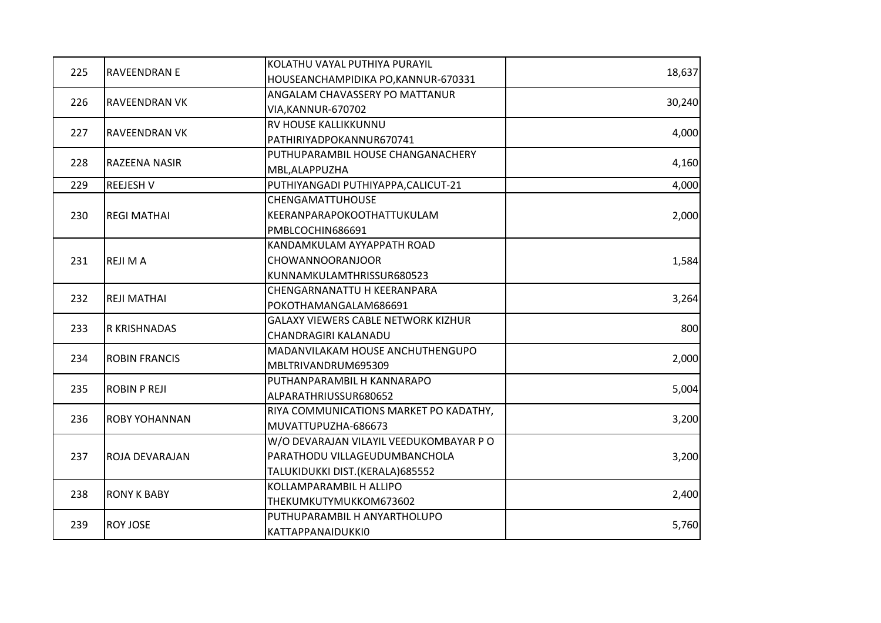|     |                       | KOLATHU VAYAL PUTHIYA PURAYIL              |        |
|-----|-----------------------|--------------------------------------------|--------|
| 225 | <b>RAVEENDRAN E</b>   | HOUSEANCHAMPIDIKA PO, KANNUR-670331        | 18,637 |
|     |                       | ANGALAM CHAVASSERY PO MATTANUR             |        |
| 226 | <b>RAVEENDRAN VK</b>  | VIA, KANNUR-670702                         | 30,240 |
|     |                       | RV HOUSE KALLIKKUNNU                       |        |
| 227 | <b>RAVEENDRAN VK</b>  | PATHIRIYADPOKANNUR670741                   | 4,000  |
|     |                       | PUTHUPARAMBIL HOUSE CHANGANACHERY          |        |
| 228 | RAZEENA NASIR         | MBL, ALAPPUZHA                             | 4,160  |
| 229 | <b>REEJESH V</b>      | PUTHIYANGADI PUTHIYAPPA, CALICUT-21        | 4,000  |
|     |                       | <b>CHENGAMATTUHOUSE</b>                    |        |
| 230 | <b>REGI MATHAI</b>    | KEERANPARAPOKOOTHATTUKULAM                 | 2,000  |
|     |                       | PMBLCOCHIN686691                           |        |
|     |                       | KANDAMKULAM AYYAPPATH ROAD                 |        |
| 231 | <b>REJIMA</b>         | CHOWANNOORANJOOR                           | 1,584  |
|     |                       | KUNNAMKULAMTHRISSUR680523                  |        |
|     | <b>REJI MATHAI</b>    | CHENGARNANATTU H KEERANPARA                |        |
| 232 |                       | POKOTHAMANGALAM686691                      | 3,264  |
|     | R KRISHNADAS          | <b>GALAXY VIEWERS CABLE NETWORK KIZHUR</b> |        |
| 233 |                       | CHANDRAGIRI KALANADU                       | 800    |
| 234 | <b>ROBIN FRANCIS</b>  | MADANVILAKAM HOUSE ANCHUTHENGUPO           |        |
|     |                       | MBLTRIVANDRUM695309                        | 2,000  |
| 235 | <b>ROBIN P REJI</b>   | PUTHANPARAMBIL H KANNARAPO                 |        |
|     |                       | ALPARATHRIUSSUR680652                      | 5,004  |
| 236 | <b>ROBY YOHANNAN</b>  | RIYA COMMUNICATIONS MARKET PO KADATHY,     | 3,200  |
|     |                       | MUVATTUPUZHA-686673                        |        |
|     |                       | W/O DEVARAJAN VILAYIL VEEDUKOMBAYAR PO     |        |
| 237 | <b>ROJA DEVARAJAN</b> | PARATHODU VILLAGEUDUMBANCHOLA              | 3,200  |
|     |                       | TALUKIDUKKI DIST.(KERALA)685552            |        |
|     |                       | KOLLAMPARAMBIL H ALLIPO                    |        |
| 238 | <b>RONY K BABY</b>    | THEKUMKUTYMUKKOM673602                     | 2,400  |
|     |                       | PUTHUPARAMBIL H ANYARTHOLUPO               |        |
| 239 | <b>ROY JOSE</b>       | KATTAPPANAIDUKKI0                          | 5,760  |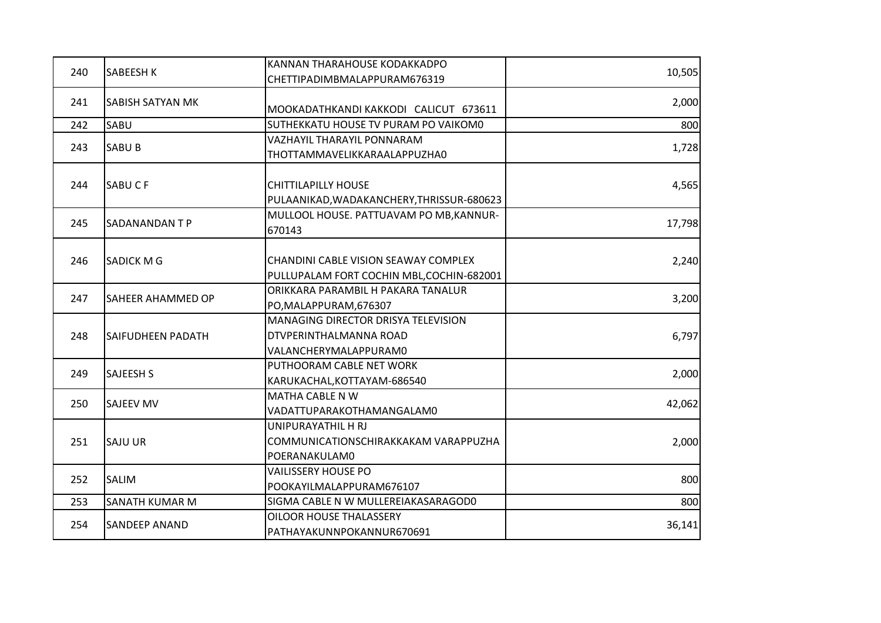|     |                          | KANNAN THARAHOUSE KODAKKADPO              |        |
|-----|--------------------------|-------------------------------------------|--------|
| 240 | <b>SABEESH K</b>         | CHETTIPADIMBMALAPPURAM676319              | 10,505 |
| 241 | SABISH SATYAN MK         |                                           | 2,000  |
|     |                          | MOOKADATHKANDI KAKKODI CALICUT 673611     |        |
| 242 | SABU                     | SUTHEKKATU HOUSE TV PURAM PO VAIKOM0      | 800    |
| 243 | <b>SABUB</b>             | VAZHAYIL THARAYIL PONNARAM                | 1,728  |
|     |                          | THOTTAMMAVELIKKARAALAPPUZHA0              |        |
|     |                          |                                           |        |
| 244 | <b>SABUCF</b>            | <b>CHITTILAPILLY HOUSE</b>                | 4,565  |
|     |                          | PULAANIKAD, WADAKANCHERY, THRISSUR-680623 |        |
| 245 | <b>SADANANDANTP</b>      | MULLOOL HOUSE. PATTUAVAM PO MB, KANNUR-   | 17,798 |
|     |                          | 670143                                    |        |
| 246 | <b>SADICK MG</b>         | CHANDINI CABLE VISION SEAWAY COMPLEX      | 2,240  |
|     |                          | PULLUPALAM FORT COCHIN MBL, COCHIN-682001 |        |
|     | SAHEER AHAMMED OP        | ORIKKARA PARAMBIL H PAKARA TANALUR        |        |
| 247 |                          | PO, MALAPPURAM, 676307                    | 3,200  |
|     |                          | MANAGING DIRECTOR DRISYA TELEVISION       |        |
| 248 | <b>SAIFUDHEEN PADATH</b> | DTVPERINTHALMANNA ROAD                    | 6,797  |
|     |                          | VALANCHERYMALAPPURAM0                     |        |
|     |                          | PUTHOORAM CABLE NET WORK                  |        |
| 249 | <b>SAJEESH S</b>         | KARUKACHAL, KOTTAYAM-686540               | 2,000  |
| 250 | <b>SAJEEV MV</b>         | MATHA CABLE N W                           | 42,062 |
|     |                          | VADATTUPARAKOTHAMANGALAM0                 |        |
|     |                          | UNIPURAYATHIL H RJ                        |        |
| 251 | <b>SAJU UR</b>           | COMMUNICATIONSCHIRAKKAKAM VARAPPUZHA      | 2,000  |
|     |                          | POERANAKULAM0                             |        |
| 252 | SALIM                    | <b>VAILISSERY HOUSE PO</b>                | 800    |
|     |                          | POOKAYILMALAPPURAM676107                  |        |
| 253 | SANATH KUMAR M           | SIGMA CABLE N W MULLEREIAKASARAGOD0       | 800    |
|     | <b>SANDEEP ANAND</b>     | OILOOR HOUSE THALASSERY                   | 36,141 |
| 254 |                          | PATHAYAKUNNPOKANNUR670691                 |        |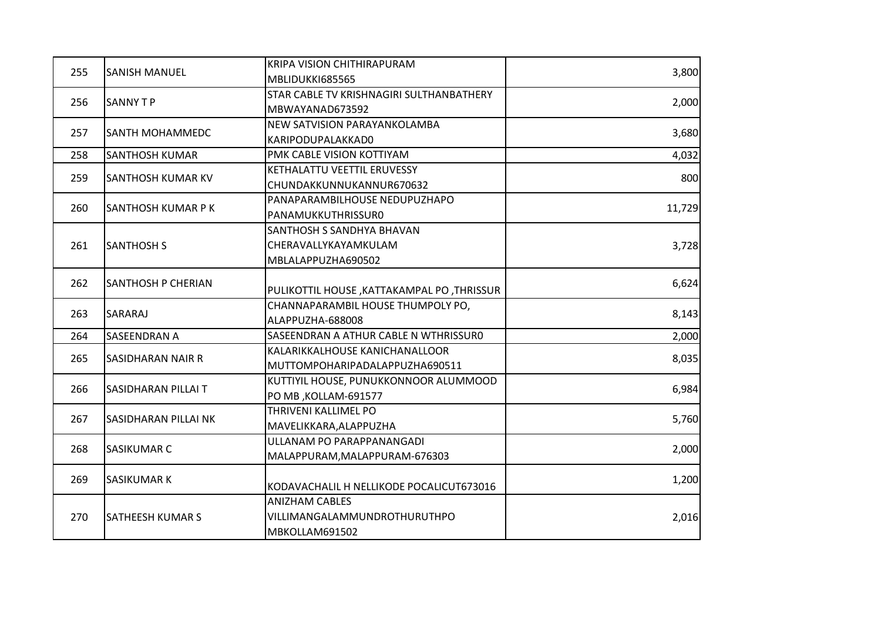|     |                           | KRIPA VISION CHITHIRAPURAM                 |        |
|-----|---------------------------|--------------------------------------------|--------|
| 255 | <b>SANISH MANUEL</b>      | MBLIDUKKI685565                            | 3,800  |
|     |                           | STAR CABLE TV KRISHNAGIRI SULTHANBATHERY   |        |
| 256 | <b>SANNY T P</b>          | MBWAYANAD673592                            | 2,000  |
|     | <b>SANTH MOHAMMEDC</b>    | NEW SATVISION PARAYANKOLAMBA               |        |
| 257 |                           | KARIPODUPALAKKAD0                          | 3,680  |
| 258 | <b>SANTHOSH KUMAR</b>     | PMK CABLE VISION KOTTIYAM                  | 4,032  |
| 259 | <b>SANTHOSH KUMAR KV</b>  | KETHALATTU VEETTIL ERUVESSY                | 800    |
|     |                           | CHUNDAKKUNNUKANNUR670632                   |        |
|     |                           | PANAPARAMBILHOUSE NEDUPUZHAPO              |        |
| 260 | <b>SANTHOSH KUMAR PK</b>  | PANAMUKKUTHRISSURO                         | 11,729 |
|     |                           | SANTHOSH S SANDHYA BHAVAN                  |        |
| 261 | <b>SANTHOSH S</b>         | CHERAVALLYKAYAMKULAM                       | 3,728  |
|     |                           | MBLALAPPUZHA690502                         |        |
| 262 |                           |                                            |        |
|     | <b>SANTHOSH P CHERIAN</b> | PULIKOTTIL HOUSE, KATTAKAMPAL PO, THRISSUR | 6,624  |
| 263 | SARARAJ                   | CHANNAPARAMBIL HOUSE THUMPOLY PO,          | 8,143  |
|     |                           | ALAPPUZHA-688008                           |        |
| 264 | SASEENDRAN A              | SASEENDRAN A ATHUR CABLE N WTHRISSURO      | 2,000  |
| 265 | <b>SASIDHARAN NAIR R</b>  | KALARIKKALHOUSE KANICHANALLOOR             |        |
|     |                           | MUTTOMPOHARIPADALAPPUZHA690511             | 8,035  |
| 266 |                           | KUTTIYIL HOUSE, PUNUKKONNOOR ALUMMOOD      | 6,984  |
|     | SASIDHARAN PILLAI T       | PO MB, KOLLAM-691577                       |        |
| 267 | SASIDHARAN PILLAI NK      | THRIVENI KALLIMEL PO                       | 5,760  |
|     |                           | MAVELIKKARA, ALAPPUZHA                     |        |
| 268 | <b>SASIKUMAR C</b>        | ULLANAM PO PARAPPANANGADI                  | 2,000  |
|     |                           | MALAPPURAM, MALAPPURAM-676303              |        |
| 269 | <b>SASIKUMAR K</b>        |                                            | 1,200  |
|     |                           | KODAVACHALIL H NELLIKODE POCALICUT673016   |        |
|     |                           | <b>ANIZHAM CABLES</b>                      |        |
| 270 | <b>SATHEESH KUMAR S</b>   | VILLIMANGALAMMUNDROTHURUTHPO               | 2,016  |
|     |                           | MBKOLLAM691502                             |        |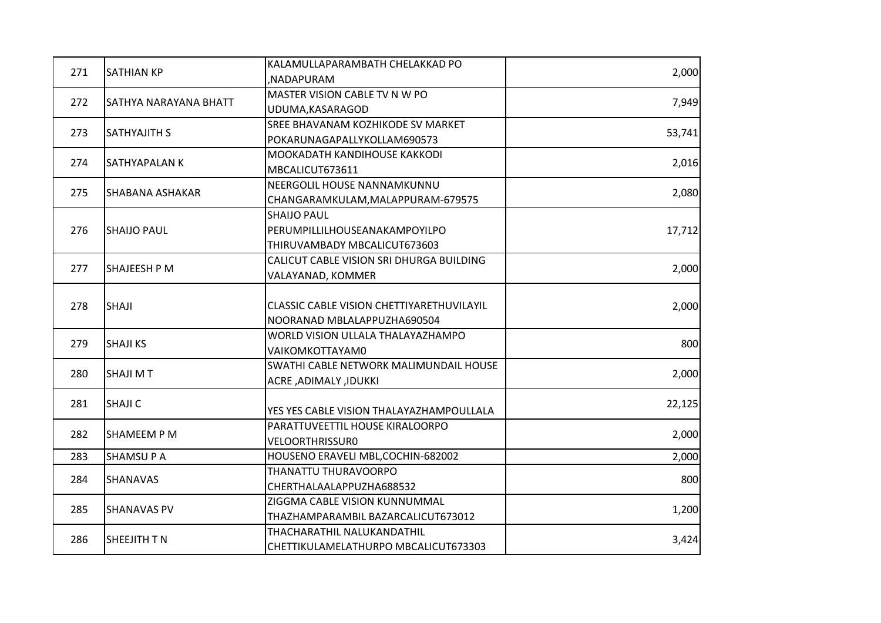|     |                       | KALAMULLAPARAMBATH CHELAKKAD PO           |        |
|-----|-----------------------|-------------------------------------------|--------|
| 271 | <b>SATHIAN KP</b>     | ,NADAPURAM                                | 2,000  |
| 272 |                       | MASTER VISION CABLE TV N W PO             |        |
|     | SATHYA NARAYANA BHATT | UDUMA, KASARAGOD                          | 7,949  |
|     |                       | SREE BHAVANAM KOZHIKODE SV MARKET         |        |
| 273 | <b>SATHYAJITH S</b>   | POKARUNAGAPALLYKOLLAM690573               | 53,741 |
| 274 | SATHYAPALAN K         | MOOKADATH KANDIHOUSE KAKKODI              |        |
|     |                       | MBCALICUT673611                           | 2,016  |
| 275 | SHABANA ASHAKAR       | NEERGOLIL HOUSE NANNAMKUNNU               | 2,080  |
|     |                       | CHANGARAMKULAM, MALAPPURAM-679575         |        |
|     |                       | <b>SHAIJO PAUL</b>                        |        |
| 276 | <b>SHAIJO PAUL</b>    | PERUMPILLILHOUSEANAKAMPOYILPO             | 17,712 |
|     |                       | THIRUVAMBADY MBCALICUT673603              |        |
|     |                       | CALICUT CABLE VISION SRI DHURGA BUILDING  |        |
| 277 | <b>SHAJEESH P M</b>   | VALAYANAD, KOMMER                         | 2,000  |
|     |                       |                                           |        |
| 278 | <b>SHAJI</b>          | CLASSIC CABLE VISION CHETTIYARETHUVILAYIL | 2,000  |
|     |                       | NOORANAD MBLALAPPUZHA690504               |        |
| 279 | <b>SHAJI KS</b>       | WORLD VISION ULLALA THALAYAZHAMPO         | 800    |
|     |                       | VAIKOMKOTTAYAM0                           |        |
| 280 | <b>SHAJI MT</b>       | SWATHI CABLE NETWORK MALIMUNDAIL HOUSE    | 2,000  |
|     |                       | ACRE, ADIMALY, IDUKKI                     |        |
| 281 | <b>SHAJI C</b>        |                                           | 22,125 |
|     |                       | YES YES CABLE VISION THALAYAZHAMPOULLALA  |        |
| 282 | <b>SHAMEEM P M</b>    | PARATTUVEETTIL HOUSE KIRALOORPO           | 2,000  |
|     |                       | <b>VELOORTHRISSUR0</b>                    |        |
| 283 | <b>SHAMSUPA</b>       | HOUSENO ERAVELI MBL, COCHIN-682002        | 2,000  |
| 284 | <b>SHANAVAS</b>       | THANATTU THURAVOORPO                      | 800    |
|     |                       | CHERTHALAALAPPUZHA688532                  |        |
| 285 | <b>SHANAVAS PV</b>    | ZIGGMA CABLE VISION KUNNUMMAL             | 1,200  |
|     |                       | THAZHAMPARAMBIL BAZARCALICUT673012        |        |
|     |                       | THACHARATHIL NALUKANDATHIL                |        |
| 286 | <b>SHEEJITH T N</b>   | CHETTIKULAMELATHURPO MBCALICUT673303      | 3,424  |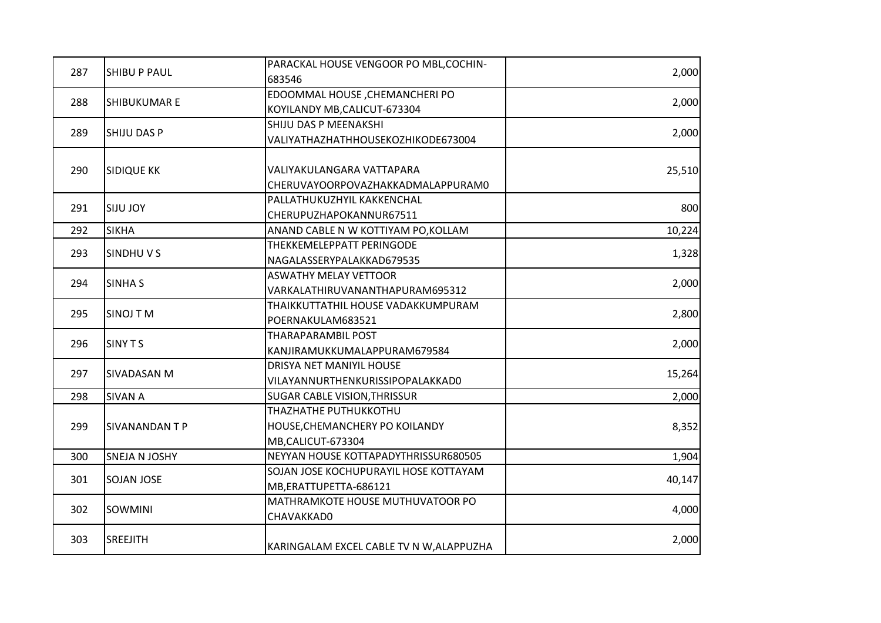|     |                     | PARACKAL HOUSE VENGOOR PO MBL, COCHIN-   |        |
|-----|---------------------|------------------------------------------|--------|
| 287 | <b>SHIBU P PAUL</b> | 683546                                   | 2,000  |
| 288 |                     | EDOOMMAL HOUSE, CHEMANCHERI PO           |        |
|     | <b>SHIBUKUMAR E</b> | KOYILANDY MB, CALICUT-673304             | 2,000  |
| 289 |                     | SHIJU DAS P MEENAKSHI                    |        |
|     | <b>SHIJU DAS P</b>  | VALIYATHAZHATHHOUSEKOZHIKODE673004       | 2,000  |
| 290 |                     | VALIYAKULANGARA VATTAPARA                |        |
|     | <b>SIDIQUE KK</b>   | CHERUVAYOORPOVAZHAKKADMALAPPURAM0        | 25,510 |
|     |                     | PALLATHUKUZHYIL KAKKENCHAL               |        |
| 291 | <b>SIJU JOY</b>     | CHERUPUZHAPOKANNUR67511                  | 800    |
| 292 | <b>SIKHA</b>        | ANAND CABLE N W KOTTIYAM PO, KOLLAM      | 10,224 |
|     |                     | THEKKEMELEPPATT PERINGODE                |        |
| 293 | SINDHUVS            | NAGALASSERYPALAKKAD679535                | 1,328  |
|     |                     | <b>ASWATHY MELAY VETTOOR</b>             |        |
| 294 | <b>SINHA S</b>      | VARKALATHIRUVANANTHAPURAM695312          | 2,000  |
|     |                     | THAIKKUTTATHIL HOUSE VADAKKUMPURAM       |        |
| 295 | <b>SINOJ TM</b>     | POERNAKULAM683521                        | 2,800  |
|     | SINY T S            | THARAPARAMBIL POST                       |        |
| 296 |                     | KANJIRAMUKKUMALAPPURAM679584             | 2,000  |
|     | <b>SIVADASAN M</b>  | DRISYA NET MANIYIL HOUSE                 |        |
| 297 |                     | VILAYANNURTHENKURISSIPOPALAKKAD0         | 15,264 |
| 298 | SIVAN A             | SUGAR CABLE VISION, THRISSUR             | 2,000  |
|     |                     | THAZHATHE PUTHUKKOTHU                    |        |
| 299 | <b>SIVANANDANTP</b> | HOUSE, CHEMANCHERY PO KOILANDY           | 8,352  |
|     |                     | MB,CALICUT-673304                        |        |
| 300 | SNEJA N JOSHY       | NEYYAN HOUSE KOTTAPADYTHRISSUR680505     | 1,904  |
| 301 | <b>SOJAN JOSE</b>   | SOJAN JOSE KOCHUPURAYIL HOSE KOTTAYAM    |        |
|     |                     | MB, ERATTUPETTA-686121                   | 40,147 |
|     |                     | MATHRAMKOTE HOUSE MUTHUVATOOR PO         |        |
| 302 | <b>SOWMINI</b>      | CHAVAKKAD0                               | 4,000  |
| 303 | <b>SREEJITH</b>     | KARINGALAM EXCEL CABLE TV N W, ALAPPUZHA | 2,000  |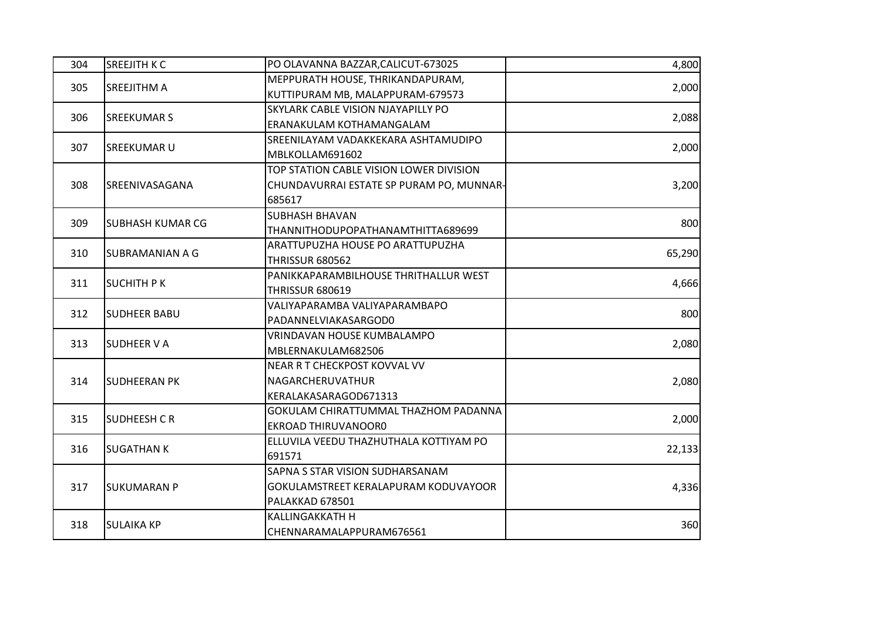| 304 | <b>SREEJITH K C</b>     | PO OLAVANNA BAZZAR, CALICUT-673025                                                            | 4,800  |
|-----|-------------------------|-----------------------------------------------------------------------------------------------|--------|
| 305 | <b>SREEJITHM A</b>      | MEPPURATH HOUSE, THRIKANDAPURAM,<br>KUTTIPURAM MB, MALAPPURAM-679573                          | 2,000  |
| 306 | <b>SREEKUMAR S</b>      | SKYLARK CABLE VISION NJAYAPILLY PO<br>ERANAKULAM KOTHAMANGALAM                                | 2,088  |
| 307 | <b>SREEKUMAR U</b>      | SREENILAYAM VADAKKEKARA ASHTAMUDIPO<br>MBLKOLLAM691602                                        | 2,000  |
| 308 | <b>SREENIVASAGANA</b>   | TOP STATION CABLE VISION LOWER DIVISION<br>CHUNDAVURRAI ESTATE SP PURAM PO, MUNNAR-<br>685617 | 3,200  |
| 309 | <b>SUBHASH KUMAR CG</b> | <b>SUBHASH BHAVAN</b><br>THANNITHODUPOPATHANAMTHITTA689699                                    | 800    |
| 310 | <b>SUBRAMANIAN A G</b>  | ARATTUPUZHA HOUSE PO ARATTUPUZHA<br><b>THRISSUR 680562</b>                                    | 65,290 |
| 311 | <b>SUCHITH PK</b>       | PANIKKAPARAMBILHOUSE THRITHALLUR WEST<br><b>THRISSUR 680619</b>                               | 4,666  |
| 312 | <b>SUDHEER BABU</b>     | VALIYAPARAMBA VALIYAPARAMBAPO<br>PADANNELVIAKASARGOD0                                         | 800    |
| 313 | <b>SUDHEER V A</b>      | VRINDAVAN HOUSE KUMBALAMPO<br>MBLERNAKULAM682506                                              | 2,080  |
| 314 | <b>SUDHEERAN PK</b>     | NEAR R T CHECKPOST KOVVAL VV<br>NAGARCHERUVATHUR<br>KERALAKASARAGOD671313                     | 2,080  |
| 315 | <b>SUDHEESH C R</b>     | GOKULAM CHIRATTUMMAL THAZHOM PADANNA<br>EKROAD THIRUVANOOR0                                   | 2,000  |
| 316 | <b>SUGATHANK</b>        | ELLUVILA VEEDU THAZHUTHALA KOTTIYAM PO<br>691571                                              | 22,133 |
| 317 | <b>SUKUMARAN P</b>      | SAPNA S STAR VISION SUDHARSANAM<br>GOKULAMSTREET KERALAPURAM KODUVAYOOR<br>PALAKKAD 678501    | 4,336  |
| 318 | <b>SULAIKA KP</b>       | <b>KALLINGAKKATH H</b><br>CHENNARAMALAPPURAM676561                                            | 360    |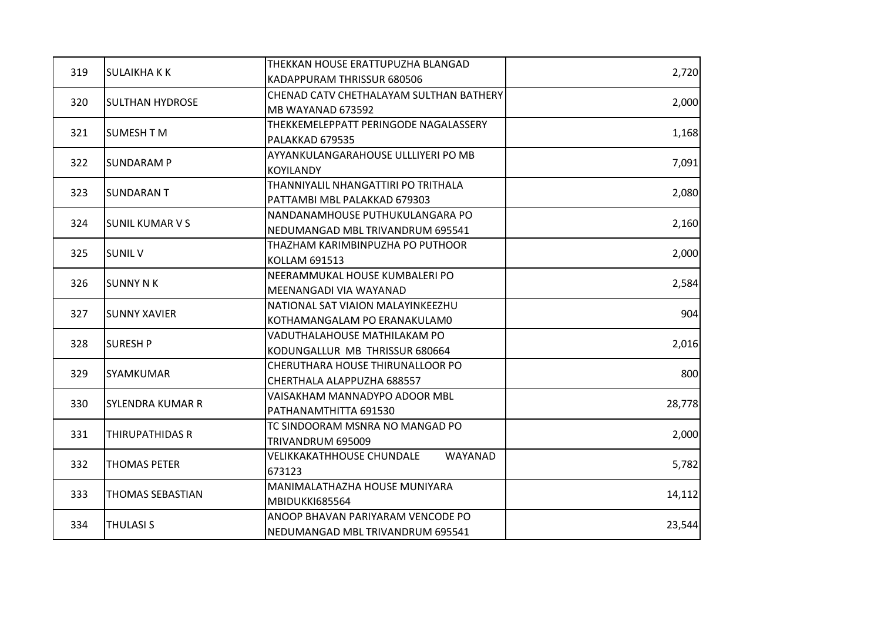|     |                         | THEKKAN HOUSE ERATTUPUZHA BLANGAD           |        |
|-----|-------------------------|---------------------------------------------|--------|
| 319 | <b>SULAIKHAKK</b>       | KADAPPURAM THRISSUR 680506                  | 2,720  |
| 320 |                         | CHENAD CATV CHETHALAYAM SULTHAN BATHERY     |        |
|     | <b>SULTHAN HYDROSE</b>  | MB WAYANAD 673592                           | 2,000  |
|     |                         | THEKKEMELEPPATT PERINGODE NAGALASSERY       |        |
| 321 | <b>SUMESH T M</b>       | PALAKKAD 679535                             | 1,168  |
| 322 | <b>ISUNDARAM P</b>      | AYYANKULANGARAHOUSE ULLLIYERI PO MB         | 7,091  |
|     |                         | <b>KOYILANDY</b>                            |        |
| 323 |                         | THANNIYALIL NHANGATTIRI PO TRITHALA         |        |
|     | <b>SUNDARANT</b>        | PATTAMBI MBL PALAKKAD 679303                | 2,080  |
|     |                         | NANDANAMHOUSE PUTHUKULANGARA PO             |        |
| 324 | <b>SUNIL KUMAR V S</b>  | NEDUMANGAD MBL TRIVANDRUM 695541            | 2,160  |
|     |                         | THAZHAM KARIMBINPUZHA PO PUTHOOR            |        |
| 325 | <b>SUNIL V</b>          | <b>KOLLAM 691513</b>                        | 2,000  |
|     |                         | NEERAMMUKAL HOUSE KUMBALERI PO              |        |
| 326 | <b>SUNNY N K</b>        | MEENANGADI VIA WAYANAD                      | 2,584  |
| 327 | <b>SUNNY XAVIER</b>     | NATIONAL SAT VIAION MALAYINKEEZHU           | 904    |
|     |                         | KOTHAMANGALAM PO ERANAKULAMO                |        |
|     | <b>SURESH P</b>         | VADUTHALAHOUSE MATHILAKAM PO                |        |
| 328 |                         | KODUNGALLUR MB THRISSUR 680664              | 2,016  |
|     | <b>SYAMKUMAR</b>        | CHERUTHARA HOUSE THIRUNALLOOR PO            |        |
| 329 |                         | CHERTHALA ALAPPUZHA 688557                  | 800    |
| 330 |                         | VAISAKHAM MANNADYPO ADOOR MBL               |        |
|     | <b>SYLENDRA KUMAR R</b> | PATHANAMTHITTA 691530                       | 28,778 |
|     |                         | TC SINDOORAM MSNRA NO MANGAD PO             |        |
| 331 | THIRUPATHIDAS R         | TRIVANDRUM 695009                           | 2,000  |
|     |                         | <b>VELIKKAKATHHOUSE CHUNDALE</b><br>WAYANAD |        |
| 332 | <b>THOMAS PETER</b>     | 673123                                      | 5,782  |
|     |                         | MANIMALATHAZHA HOUSE MUNIYARA               |        |
| 333 | THOMAS SEBASTIAN        | <b>MBIDUKKI685564</b>                       | 14,112 |
|     |                         | ANOOP BHAVAN PARIYARAM VENCODE PO           |        |
| 334 | <b>THULASI S</b>        | NEDUMANGAD MBL TRIVANDRUM 695541            | 23,544 |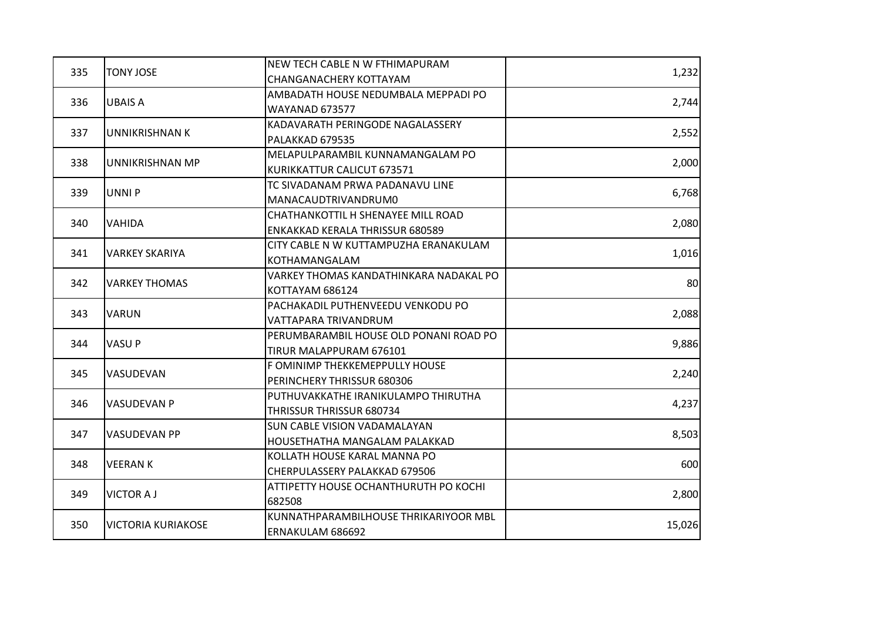|     |                           | NEW TECH CABLE N W FTHIMAPURAM         |        |
|-----|---------------------------|----------------------------------------|--------|
| 335 | <b>TONY JOSE</b>          | CHANGANACHERY KOTTAYAM                 | 1,232  |
| 336 |                           | AMBADATH HOUSE NEDUMBALA MEPPADI PO    |        |
|     | <b>UBAIS A</b>            | <b>WAYANAD 673577</b>                  | 2,744  |
|     |                           | KADAVARATH PERINGODE NAGALASSERY       |        |
| 337 | <b>UNNIKRISHNAN K</b>     | PALAKKAD 679535                        | 2,552  |
|     |                           | MELAPULPARAMBIL KUNNAMANGALAM PO       |        |
| 338 | UNNIKRISHNAN MP           | KURIKKATTUR CALICUT 673571             | 2,000  |
|     |                           | TC SIVADANAM PRWA PADANAVU LINE        |        |
| 339 | <b>UNNIP</b>              | MANACAUDTRIVANDRUM0                    | 6,768  |
|     |                           | CHATHANKOTTIL H SHENAYEE MILL ROAD     |        |
| 340 | <b>VAHIDA</b>             | <b>ENKAKKAD KERALA THRISSUR 680589</b> | 2,080  |
|     |                           | CITY CABLE N W KUTTAMPUZHA ERANAKULAM  |        |
| 341 | <b>VARKEY SKARIYA</b>     | KOTHAMANGALAM                          | 1,016  |
|     |                           | VARKEY THOMAS KANDATHINKARA NADAKAL PO |        |
| 342 | <b>VARKEY THOMAS</b>      | KOTTAYAM 686124                        | 80     |
|     |                           | PACHAKADIL PUTHENVEEDU VENKODU PO      |        |
| 343 | <b>VARUN</b>              | VATTAPARA TRIVANDRUM                   | 2,088  |
|     | <b>VASUP</b>              | PERUMBARAMBIL HOUSE OLD PONANI ROAD PO |        |
| 344 |                           | TIRUR MALAPPURAM 676101                | 9,886  |
| 345 |                           | F OMINIMP THEKKEMEPPULLY HOUSE         |        |
|     | VASUDEVAN                 | PERINCHERY THRISSUR 680306             | 2,240  |
| 346 | <b>VASUDEVAN P</b>        | PUTHUVAKKATHE IRANIKULAMPO THIRUTHA    |        |
|     |                           | <b>THRISSUR THRISSUR 680734</b>        | 4,237  |
|     |                           | SUN CABLE VISION VADAMALAYAN           |        |
| 347 | <b>VASUDEVAN PP</b>       | HOUSETHATHA MANGALAM PALAKKAD          | 8,503  |
| 348 |                           | KOLLATH HOUSE KARAL MANNA PO           |        |
|     | <b>VEERANK</b>            | CHERPULASSERY PALAKKAD 679506          | 600    |
|     | <b>VICTOR A J</b>         | ATTIPETTY HOUSE OCHANTHURUTH PO KOCHI  |        |
| 349 |                           | 682508                                 | 2,800  |
|     |                           | KUNNATHPARAMBILHOUSE THRIKARIYOOR MBL  |        |
| 350 | <b>VICTORIA KURIAKOSE</b> | ERNAKULAM 686692                       | 15,026 |